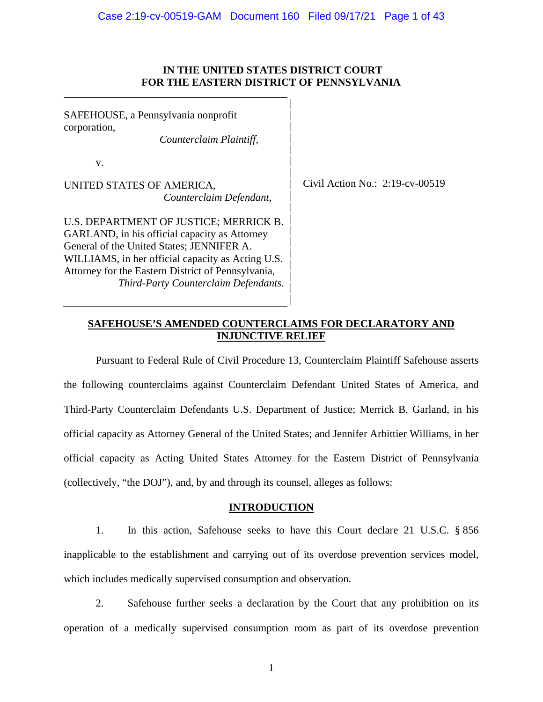## **IN THE UNITED STATES DISTRICT COURT FOR THE EASTERN DISTRICT OF PENNSYLVANIA**

| SAFEHOUSE, a Pennsylvania nonprofit<br>corporation,<br>Counterclaim Plaintiff,                                                                                                                                                                                                          |                                    |
|-----------------------------------------------------------------------------------------------------------------------------------------------------------------------------------------------------------------------------------------------------------------------------------------|------------------------------------|
| V.                                                                                                                                                                                                                                                                                      |                                    |
| UNITED STATES OF AMERICA,<br>Counterclaim Defendant,                                                                                                                                                                                                                                    | Civil Action No.: $2:19$ -cv-00519 |
| U.S. DEPARTMENT OF JUSTICE; MERRICK B.<br>GARLAND, in his official capacity as Attorney<br>General of the United States; JENNIFER A.<br>WILLIAMS, in her official capacity as Acting U.S.<br>Attorney for the Eastern District of Pennsylvania,<br>Third-Party Counterclaim Defendants. |                                    |

# **SAFEHOUSE'S AMENDED COUNTERCLAIMS FOR DECLARATORY AND INJUNCTIVE RELIEF**

Pursuant to Federal Rule of Civil Procedure 13, Counterclaim Plaintiff Safehouse asserts the following counterclaims against Counterclaim Defendant United States of America, and Third-Party Counterclaim Defendants U.S. Department of Justice; Merrick B. Garland, in his official capacity as Attorney General of the United States; and Jennifer Arbittier Williams, in her official capacity as Acting United States Attorney for the Eastern District of Pennsylvania (collectively, "the DOJ"), and, by and through its counsel, alleges as follows:

# **INTRODUCTION**

1. In this action, Safehouse seeks to have this Court declare 21 U.S.C. § 856 inapplicable to the establishment and carrying out of its overdose prevention services model, which includes medically supervised consumption and observation.

2. Safehouse further seeks a declaration by the Court that any prohibition on its operation of a medically supervised consumption room as part of its overdose prevention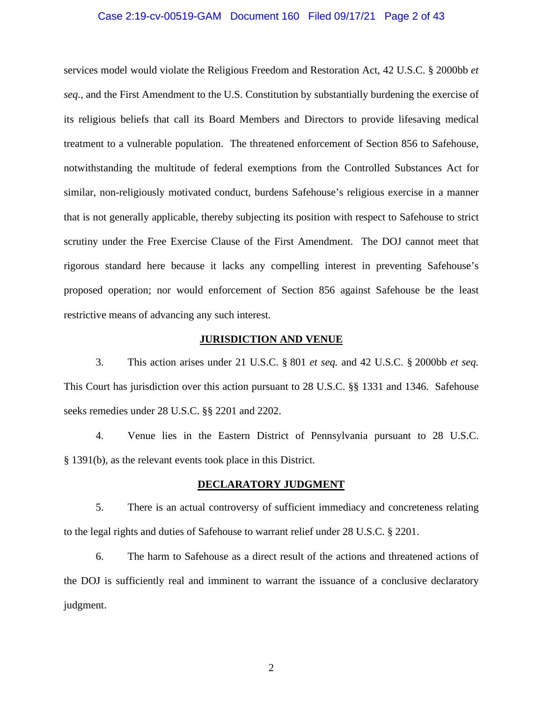## Case 2:19-cv-00519-GAM Document 160 Filed 09/17/21 Page 2 of 43

services model would violate the Religious Freedom and Restoration Act, 42 U.S.C. § 2000bb *et seq.*, and the First Amendment to the U.S. Constitution by substantially burdening the exercise of its religious beliefs that call its Board Members and Directors to provide lifesaving medical treatment to a vulnerable population. The threatened enforcement of Section 856 to Safehouse, notwithstanding the multitude of federal exemptions from the Controlled Substances Act for similar, non-religiously motivated conduct, burdens Safehouse's religious exercise in a manner that is not generally applicable, thereby subjecting its position with respect to Safehouse to strict scrutiny under the Free Exercise Clause of the First Amendment. The DOJ cannot meet that rigorous standard here because it lacks any compelling interest in preventing Safehouse's proposed operation; nor would enforcement of Section 856 against Safehouse be the least restrictive means of advancing any such interest.

## **JURISDICTION AND VENUE**

3. This action arises under 21 U.S.C. § 801 *et seq.* and 42 U.S.C. § 2000bb *et seq.*  This Court has jurisdiction over this action pursuant to 28 U.S.C. §§ 1331 and 1346. Safehouse seeks remedies under 28 U.S.C. §§ 2201 and 2202.

4. Venue lies in the Eastern District of Pennsylvania pursuant to 28 U.S.C. § 1391(b), as the relevant events took place in this District.

## **DECLARATORY JUDGMENT**

5. There is an actual controversy of sufficient immediacy and concreteness relating to the legal rights and duties of Safehouse to warrant relief under 28 U.S.C. § 2201.

6. The harm to Safehouse as a direct result of the actions and threatened actions of the DOJ is sufficiently real and imminent to warrant the issuance of a conclusive declaratory judgment.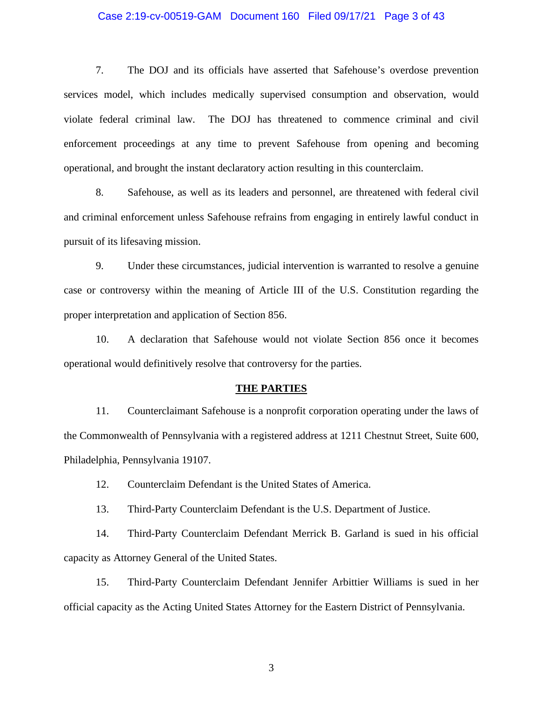## Case 2:19-cv-00519-GAM Document 160 Filed 09/17/21 Page 3 of 43

7. The DOJ and its officials have asserted that Safehouse's overdose prevention services model, which includes medically supervised consumption and observation, would violate federal criminal law. The DOJ has threatened to commence criminal and civil enforcement proceedings at any time to prevent Safehouse from opening and becoming operational, and brought the instant declaratory action resulting in this counterclaim.

8. Safehouse, as well as its leaders and personnel, are threatened with federal civil and criminal enforcement unless Safehouse refrains from engaging in entirely lawful conduct in pursuit of its lifesaving mission.

9. Under these circumstances, judicial intervention is warranted to resolve a genuine case or controversy within the meaning of Article III of the U.S. Constitution regarding the proper interpretation and application of Section 856.

10. A declaration that Safehouse would not violate Section 856 once it becomes operational would definitively resolve that controversy for the parties.

#### **THE PARTIES**

11. Counterclaimant Safehouse is a nonprofit corporation operating under the laws of the Commonwealth of Pennsylvania with a registered address at 1211 Chestnut Street, Suite 600, Philadelphia, Pennsylvania 19107.

12. Counterclaim Defendant is the United States of America.

13. Third-Party Counterclaim Defendant is the U.S. Department of Justice.

14. Third-Party Counterclaim Defendant Merrick B. Garland is sued in his official capacity as Attorney General of the United States.

15. Third-Party Counterclaim Defendant Jennifer Arbittier Williams is sued in her official capacity as the Acting United States Attorney for the Eastern District of Pennsylvania.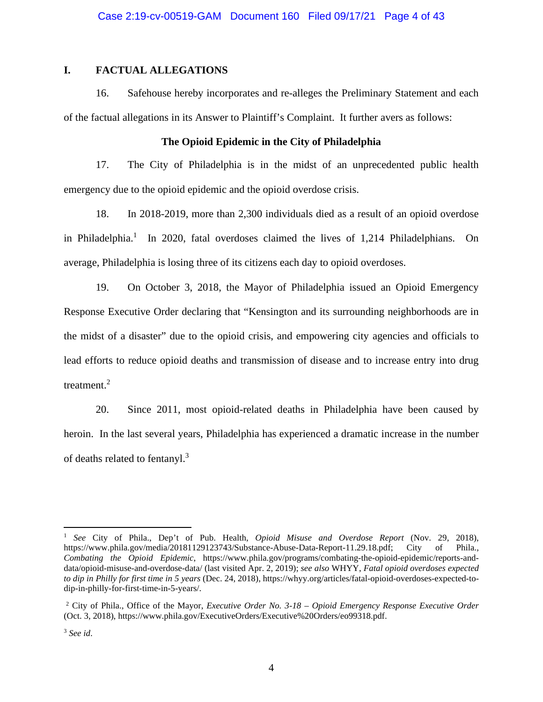## **I. FACTUAL ALLEGATIONS**

16. Safehouse hereby incorporates and re-alleges the Preliminary Statement and each of the factual allegations in its Answer to Plaintiff's Complaint. It further avers as follows:

## **The Opioid Epidemic in the City of Philadelphia**

17. The City of Philadelphia is in the midst of an unprecedented public health emergency due to the opioid epidemic and the opioid overdose crisis.

18. In 2018-2019, more than 2,300 individuals died as a result of an opioid overdose in Philadelphia.<sup>1</sup> In 2020, fatal overdoses claimed the lives of 1,214 Philadelphians. On average, Philadelphia is losing three of its citizens each day to opioid overdoses.

19. On October 3, 2018, the Mayor of Philadelphia issued an Opioid Emergency Response Executive Order declaring that "Kensington and its surrounding neighborhoods are in the midst of a disaster" due to the opioid crisis, and empowering city agencies and officials to lead efforts to reduce opioid deaths and transmission of disease and to increase entry into drug treatment. $2$ 

20. Since 2011, most opioid-related deaths in Philadelphia have been caused by heroin.In the last several years, Philadelphia has experienced a dramatic increase in the number of deaths related to fentanyl.<sup>3</sup>

<sup>1</sup> *See* City of Phila., Dep't of Pub. Health, *Opioid Misuse and Overdose Report* (Nov. 29, 2018), https://www.phila.gov/media/20181129123743/Substance-Abuse-Data-Report-11.29.18.pdf; City of Phila., *Combating the Opioid Epidemic*, https://www.phila.gov/programs/combating-the-opioid-epidemic/reports-anddata/opioid-misuse-and-overdose-data/ (last visited Apr. 2, 2019); *see also* WHYY, *Fatal opioid overdoses expected to dip in Philly for first time in 5 years* (Dec. 24, 2018), https://whyy.org/articles/fatal-opioid-overdoses-expected-todip-in-philly-for-first-time-in-5-years/.

<sup>2</sup> City of Phila., Office of the Mayor, *Executive Order No. 3-18 – Opioid Emergency Response Executive Order* (Oct. 3, 2018), https://www.phila.gov/ExecutiveOrders/Executive%20Orders/eo99318.pdf.

<sup>3</sup> *See id*.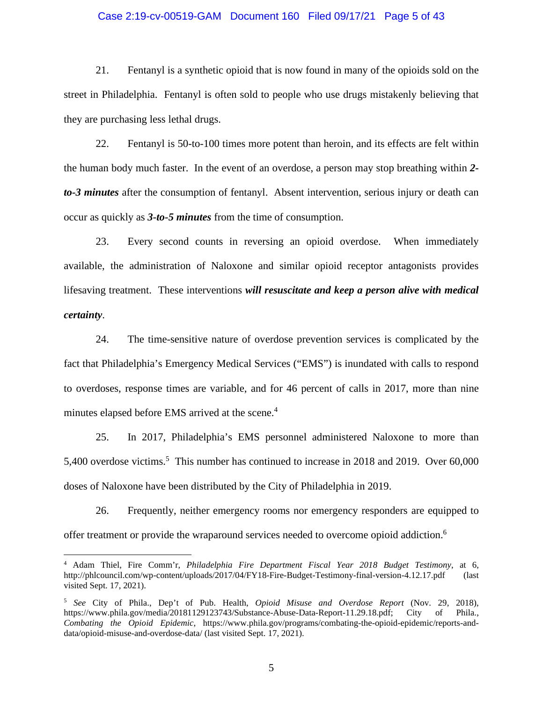## Case 2:19-cv-00519-GAM Document 160 Filed 09/17/21 Page 5 of 43

21. Fentanyl is a synthetic opioid that is now found in many of the opioids sold on the street in Philadelphia. Fentanyl is often sold to people who use drugs mistakenly believing that they are purchasing less lethal drugs.

22. Fentanyl is 50-to-100 times more potent than heroin, and its effects are felt within the human body much faster. In the event of an overdose, a person may stop breathing within *2 to-3 minutes* after the consumption of fentanyl. Absent intervention, serious injury or death can occur as quickly as *3-to-5 minutes* from the time of consumption.

23. Every second counts in reversing an opioid overdose. When immediately available, the administration of Naloxone and similar opioid receptor antagonists provides lifesaving treatment. These interventions *will resuscitate and keep a person alive with medical certainty*.

24. The time-sensitive nature of overdose prevention services is complicated by the fact that Philadelphia's Emergency Medical Services ("EMS") is inundated with calls to respond to overdoses, response times are variable, and for 46 percent of calls in 2017, more than nine minutes elapsed before EMS arrived at the scene.<sup>4</sup>

25. In 2017, Philadelphia's EMS personnel administered Naloxone to more than 5,400 overdose victims.<sup>5</sup> This number has continued to increase in 2018 and 2019. Over 60,000 doses of Naloxone have been distributed by the City of Philadelphia in 2019.

26. Frequently, neither emergency rooms nor emergency responders are equipped to offer treatment or provide the wraparound services needed to overcome opioid addiction.<sup>6</sup>

<sup>4</sup> Adam Thiel, Fire Comm'r, *Philadelphia Fire Department Fiscal Year 2018 Budget Testimony*, at 6, http://phlcouncil.com/wp-content/uploads/2017/04/FY18-Fire-Budget-Testimony-final-version-4.12.17.pdf (last visited Sept. 17, 2021).

<sup>5</sup> *See* City of Phila., Dep't of Pub. Health, *Opioid Misuse and Overdose Report* (Nov. 29, 2018), https://www.phila.gov/media/20181129123743/Substance-Abuse-Data-Report-11.29.18.pdf; City of Phila., *Combating the Opioid Epidemic*, https://www.phila.gov/programs/combating-the-opioid-epidemic/reports-anddata/opioid-misuse-and-overdose-data/ (last visited Sept. 17, 2021).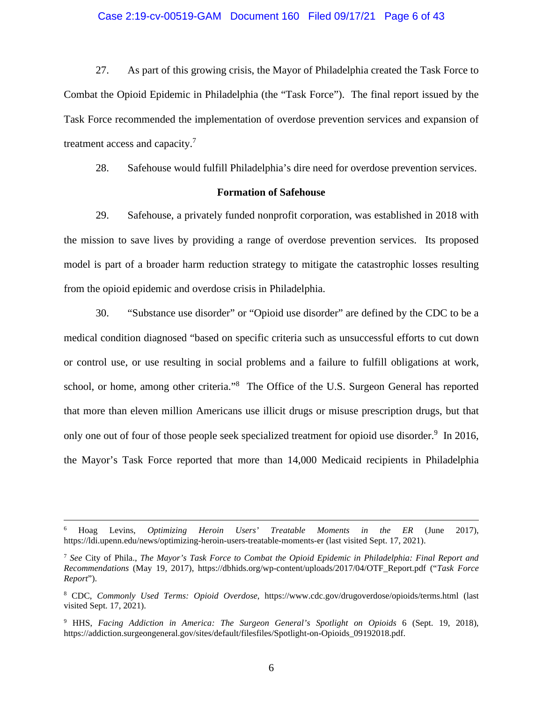## Case 2:19-cv-00519-GAM Document 160 Filed 09/17/21 Page 6 of 43

27. As part of this growing crisis, the Mayor of Philadelphia created the Task Force to Combat the Opioid Epidemic in Philadelphia (the "Task Force"). The final report issued by the Task Force recommended the implementation of overdose prevention services and expansion of treatment access and capacity.<sup>7</sup>

28. Safehouse would fulfill Philadelphia's dire need for overdose prevention services.

## **Formation of Safehouse**

29. Safehouse, a privately funded nonprofit corporation, was established in 2018 with the mission to save lives by providing a range of overdose prevention services. Its proposed model is part of a broader harm reduction strategy to mitigate the catastrophic losses resulting from the opioid epidemic and overdose crisis in Philadelphia.

30. "Substance use disorder" or "Opioid use disorder" are defined by the CDC to be a medical condition diagnosed "based on specific criteria such as unsuccessful efforts to cut down or control use, or use resulting in social problems and a failure to fulfill obligations at work, school, or home, among other criteria."<sup>8</sup> The Office of the U.S. Surgeon General has reported that more than eleven million Americans use illicit drugs or misuse prescription drugs, but that only one out of four of those people seek specialized treatment for opioid use disorder.<sup>9</sup> In 2016, the Mayor's Task Force reported that more than 14,000 Medicaid recipients in Philadelphia

<sup>6</sup> Hoag Levins, *Optimizing Heroin Users' Treatable Moments in the ER* (June 2017), https://ldi.upenn.edu/news/optimizing-heroin-users-treatable-moments-er (last visited Sept. 17, 2021).

<sup>7</sup> *See* City of Phila., *The Mayor's Task Force to Combat the Opioid Epidemic in Philadelphia: Final Report and Recommendations* (May 19, 2017), https://dbhids.org/wp-content/uploads/2017/04/OTF\_Report.pdf ("*Task Force Report*").

<sup>8</sup> CDC, *Commonly Used Terms: Opioid Overdose*, https://www.cdc.gov/drugoverdose/opioids/terms.html (last visited Sept. 17, 2021).

<sup>9</sup> HHS, *Facing Addiction in America: The Surgeon General's Spotlight on Opioids* 6 (Sept. 19, 2018), https://addiction.surgeongeneral.gov/sites/default/filesfiles/Spotlight-on-Opioids\_09192018.pdf.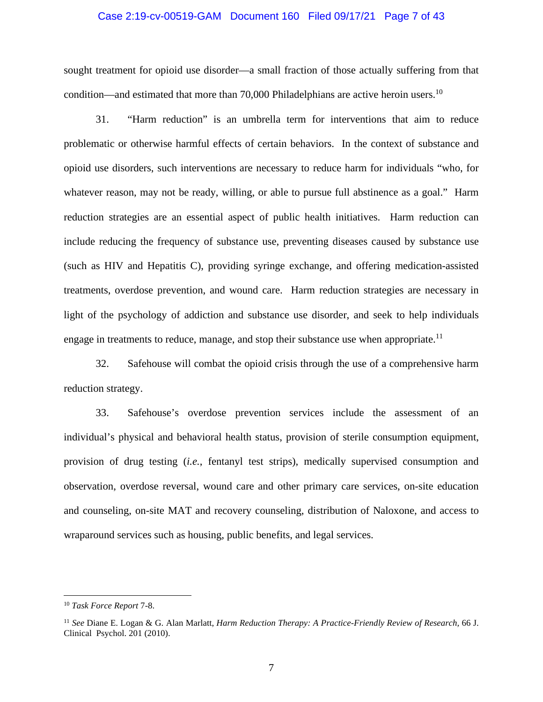## Case 2:19-cv-00519-GAM Document 160 Filed 09/17/21 Page 7 of 43

sought treatment for opioid use disorder—a small fraction of those actually suffering from that condition—and estimated that more than  $70,000$  Philadelphians are active heroin users.<sup>10</sup>

31. "Harm reduction" is an umbrella term for interventions that aim to reduce problematic or otherwise harmful effects of certain behaviors. In the context of substance and opioid use disorders, such interventions are necessary to reduce harm for individuals "who, for whatever reason, may not be ready, willing, or able to pursue full abstinence as a goal." Harm reduction strategies are an essential aspect of public health initiatives. Harm reduction can include reducing the frequency of substance use, preventing diseases caused by substance use (such as HIV and Hepatitis C), providing syringe exchange, and offering medication-assisted treatments, overdose prevention, and wound care. Harm reduction strategies are necessary in light of the psychology of addiction and substance use disorder, and seek to help individuals engage in treatments to reduce, manage, and stop their substance use when appropriate.<sup>11</sup>

32. Safehouse will combat the opioid crisis through the use of a comprehensive harm reduction strategy.

33. Safehouse's overdose prevention services include the assessment of an individual's physical and behavioral health status, provision of sterile consumption equipment, provision of drug testing (*i.e.*, fentanyl test strips), medically supervised consumption and observation, overdose reversal, wound care and other primary care services, on-site education and counseling, on-site MAT and recovery counseling, distribution of Naloxone, and access to wraparound services such as housing, public benefits, and legal services.

<sup>10</sup> *Task Force Report* 7-8.

<sup>11</sup> *See* Diane E. Logan & G. Alan Marlatt, *Harm Reduction Therapy: A Practice-Friendly Review of Research,* 66 J. Clinical Psychol. 201 (2010).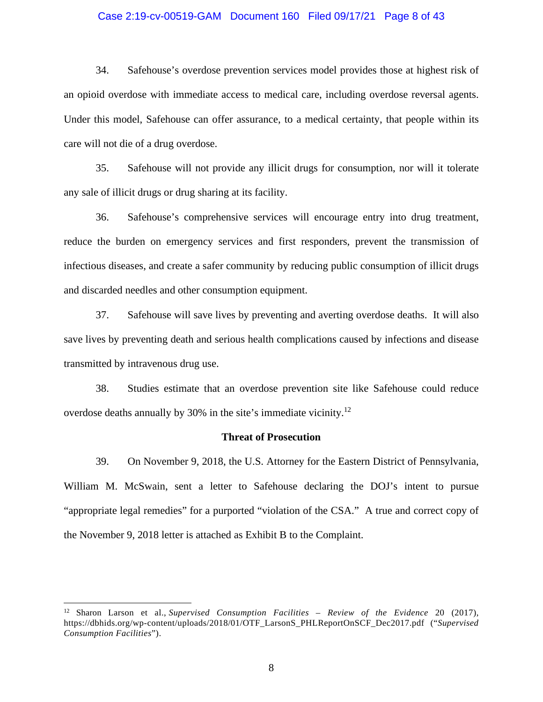## Case 2:19-cv-00519-GAM Document 160 Filed 09/17/21 Page 8 of 43

34. Safehouse's overdose prevention services model provides those at highest risk of an opioid overdose with immediate access to medical care, including overdose reversal agents. Under this model, Safehouse can offer assurance, to a medical certainty, that people within its care will not die of a drug overdose.

35. Safehouse will not provide any illicit drugs for consumption, nor will it tolerate any sale of illicit drugs or drug sharing at its facility.

36. Safehouse's comprehensive services will encourage entry into drug treatment, reduce the burden on emergency services and first responders, prevent the transmission of infectious diseases, and create a safer community by reducing public consumption of illicit drugs and discarded needles and other consumption equipment.

37. Safehouse will save lives by preventing and averting overdose deaths. It will also save lives by preventing death and serious health complications caused by infections and disease transmitted by intravenous drug use.

38. Studies estimate that an overdose prevention site like Safehouse could reduce overdose deaths annually by 30% in the site's immediate vicinity.<sup>12</sup>

#### **Threat of Prosecution**

39. On November 9, 2018, the U.S. Attorney for the Eastern District of Pennsylvania, William M. McSwain, sent a letter to Safehouse declaring the DOJ's intent to pursue "appropriate legal remedies" for a purported "violation of the CSA." A true and correct copy of the November 9, 2018 letter is attached as Exhibit B to the Complaint.

<sup>12</sup> Sharon Larson et al., *Supervised Consumption Facilities – Review of the Evidence* 20 (2017), https://dbhids.org/wp-content/uploads/2018/01/OTF\_LarsonS\_PHLReportOnSCF\_Dec2017.pdf ("*Supervised Consumption Facilities*").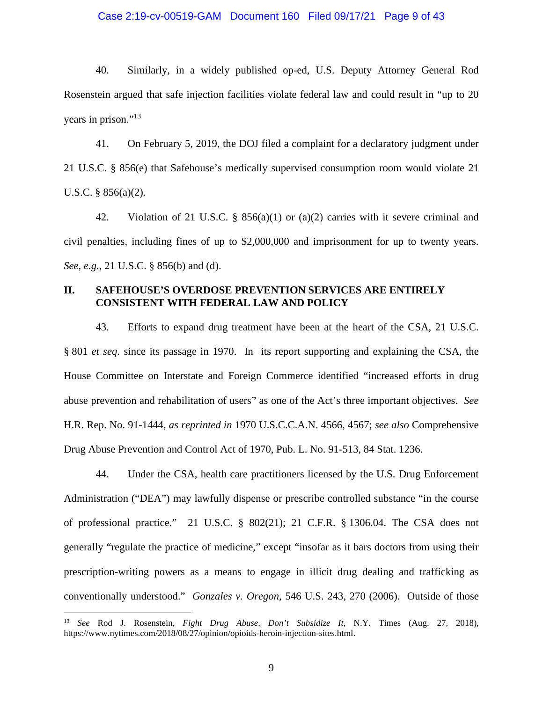## Case 2:19-cv-00519-GAM Document 160 Filed 09/17/21 Page 9 of 43

40. Similarly, in a widely published op-ed, U.S. Deputy Attorney General Rod Rosenstein argued that safe injection facilities violate federal law and could result in "up to 20 years in prison."<sup>13</sup>

41. On February 5, 2019, the DOJ filed a complaint for a declaratory judgment under 21 U.S.C. § 856(e) that Safehouse's medically supervised consumption room would violate 21 U.S.C. § 856(a)(2).

42. Violation of 21 U.S.C. §  $856(a)(1)$  or  $(a)(2)$  carries with it severe criminal and civil penalties, including fines of up to \$2,000,000 and imprisonment for up to twenty years. *See, e.g.*, 21 U.S.C. § 856(b) and (d).

## **II. SAFEHOUSE'S OVERDOSE PREVENTION SERVICES ARE ENTIRELY CONSISTENT WITH FEDERAL LAW AND POLICY**

43. Efforts to expand drug treatment have been at the heart of the CSA, 21 U.S.C. § 801 *et seq*. since its passage in 1970. In its report supporting and explaining the CSA, the House Committee on Interstate and Foreign Commerce identified "increased efforts in drug abuse prevention and rehabilitation of users" as one of the Act's three important objectives. *See*  H.R. Rep. No. 91-1444, *as reprinted in* 1970 U.S.C.C.A.N. 4566, 4567; *see also* Comprehensive Drug Abuse Prevention and Control Act of 1970, Pub. L. No. 91-513, 84 Stat. 1236.

44. Under the CSA, health care practitioners licensed by the U.S. Drug Enforcement Administration ("DEA") may lawfully dispense or prescribe controlled substance "in the course of professional practice." 21 U.S.C. § 802(21); 21 C.F.R. § 1306.04. The CSA does not generally "regulate the practice of medicine," except "insofar as it bars doctors from using their prescription-writing powers as a means to engage in illicit drug dealing and trafficking as conventionally understood." *Gonzales v. Oregon,* 546 U.S. 243, 270 (2006). Outside of those

<sup>13</sup> *See* Rod J. Rosenstein, *Fight Drug Abuse, Don't Subsidize It,* N.Y. Times (Aug. 27, 2018), https://www.nytimes.com/2018/08/27/opinion/opioids-heroin-injection-sites.html.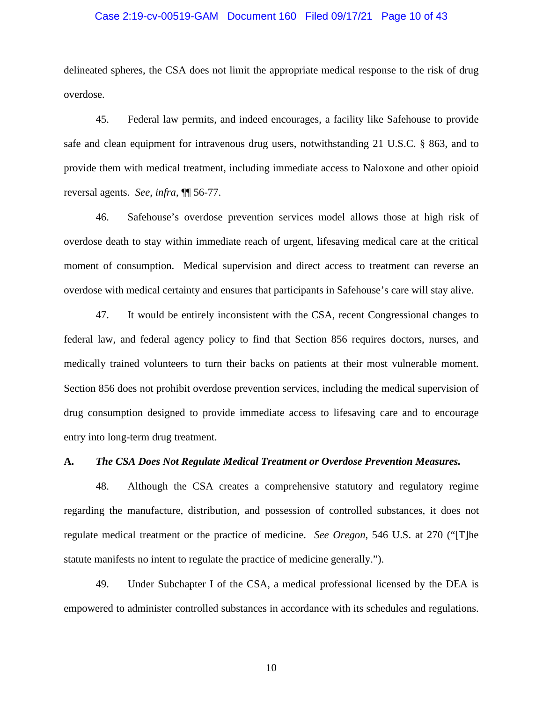## Case 2:19-cv-00519-GAM Document 160 Filed 09/17/21 Page 10 of 43

delineated spheres, the CSA does not limit the appropriate medical response to the risk of drug overdose.

45. Federal law permits, and indeed encourages, a facility like Safehouse to provide safe and clean equipment for intravenous drug users, notwithstanding 21 U.S.C. § 863, and to provide them with medical treatment, including immediate access to Naloxone and other opioid reversal agents. *See*, *infra*, ¶¶ 56-77.

46. Safehouse's overdose prevention services model allows those at high risk of overdose death to stay within immediate reach of urgent, lifesaving medical care at the critical moment of consumption. Medical supervision and direct access to treatment can reverse an overdose with medical certainty and ensures that participants in Safehouse's care will stay alive.

47. It would be entirely inconsistent with the CSA, recent Congressional changes to federal law, and federal agency policy to find that Section 856 requires doctors, nurses, and medically trained volunteers to turn their backs on patients at their most vulnerable moment. Section 856 does not prohibit overdose prevention services, including the medical supervision of drug consumption designed to provide immediate access to lifesaving care and to encourage entry into long-term drug treatment.

### **A.** *The CSA Does Not Regulate Medical Treatment or Overdose Prevention Measures.*

48. Although the CSA creates a comprehensive statutory and regulatory regime regarding the manufacture, distribution, and possession of controlled substances, it does not regulate medical treatment or the practice of medicine. *See Oregon*, 546 U.S. at 270 ("[T]he statute manifests no intent to regulate the practice of medicine generally.").

49. Under Subchapter I of the CSA, a medical professional licensed by the DEA is empowered to administer controlled substances in accordance with its schedules and regulations.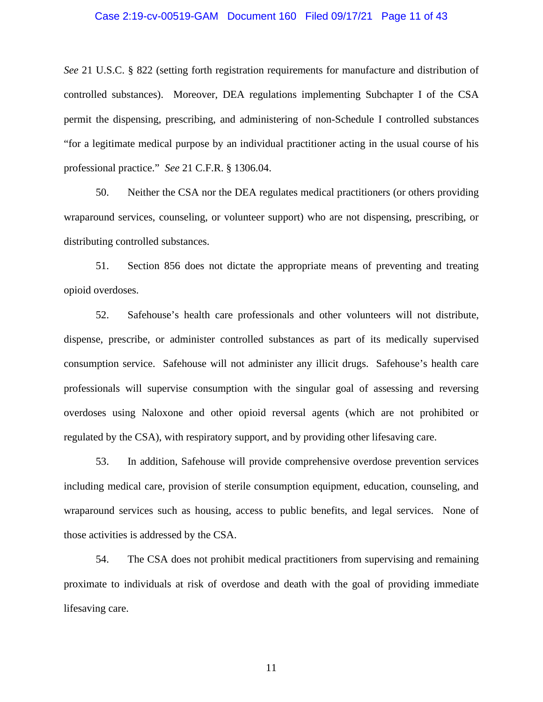## Case 2:19-cv-00519-GAM Document 160 Filed 09/17/21 Page 11 of 43

*See* 21 U.S.C. § 822 (setting forth registration requirements for manufacture and distribution of controlled substances). Moreover, DEA regulations implementing Subchapter I of the CSA permit the dispensing, prescribing, and administering of non-Schedule I controlled substances "for a legitimate medical purpose by an individual practitioner acting in the usual course of his professional practice." *See* 21 C.F.R. § 1306.04.

50. Neither the CSA nor the DEA regulates medical practitioners (or others providing wraparound services, counseling, or volunteer support) who are not dispensing, prescribing, or distributing controlled substances.

51. Section 856 does not dictate the appropriate means of preventing and treating opioid overdoses.

52. Safehouse's health care professionals and other volunteers will not distribute, dispense, prescribe, or administer controlled substances as part of its medically supervised consumption service. Safehouse will not administer any illicit drugs. Safehouse's health care professionals will supervise consumption with the singular goal of assessing and reversing overdoses using Naloxone and other opioid reversal agents (which are not prohibited or regulated by the CSA), with respiratory support, and by providing other lifesaving care.

53. In addition, Safehouse will provide comprehensive overdose prevention services including medical care, provision of sterile consumption equipment, education, counseling, and wraparound services such as housing, access to public benefits, and legal services. None of those activities is addressed by the CSA.

54. The CSA does not prohibit medical practitioners from supervising and remaining proximate to individuals at risk of overdose and death with the goal of providing immediate lifesaving care.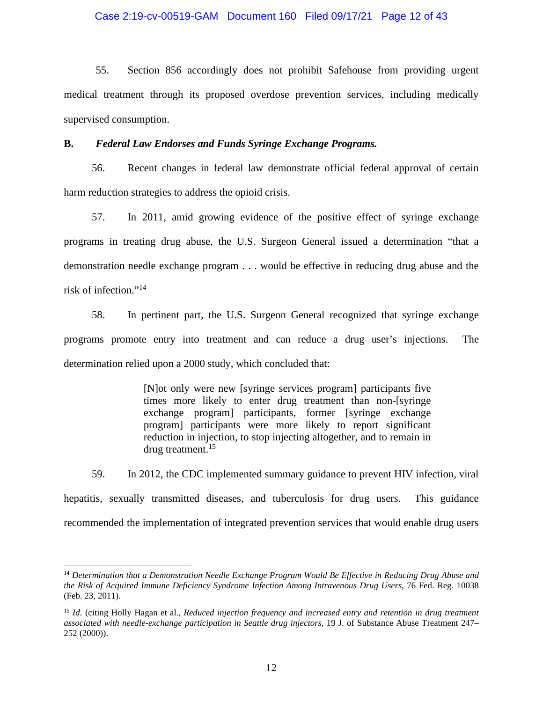55. Section 856 accordingly does not prohibit Safehouse from providing urgent medical treatment through its proposed overdose prevention services, including medically supervised consumption.

## **B.** *Federal Law Endorses and Funds Syringe Exchange Programs.*

56. Recent changes in federal law demonstrate official federal approval of certain harm reduction strategies to address the opioid crisis.

57. In 2011, amid growing evidence of the positive effect of syringe exchange programs in treating drug abuse, the U.S. Surgeon General issued a determination "that a demonstration needle exchange program . . . would be effective in reducing drug abuse and the risk of infection."<sup>14</sup>

58. In pertinent part, the U.S. Surgeon General recognized that syringe exchange programs promote entry into treatment and can reduce a drug user's injections. The determination relied upon a 2000 study, which concluded that:

> [N]ot only were new [syringe services program] participants five times more likely to enter drug treatment than non-[syringe exchange program] participants, former [syringe exchange program] participants were more likely to report significant reduction in injection, to stop injecting altogether, and to remain in drug treatment.<sup>15</sup>

59. In 2012, the CDC implemented summary guidance to prevent HIV infection, viral hepatitis, sexually transmitted diseases, and tuberculosis for drug users. This guidance recommended the implementation of integrated prevention services that would enable drug users

<sup>14</sup> *Determination that a Demonstration Needle Exchange Program Would Be Effective in Reducing Drug Abuse and the Risk of Acquired Immune Deficiency Syndrome Infection Among Intravenous Drug Users*, 76 Fed. Reg. 10038 (Feb. 23, 2011).

<sup>15</sup> *Id.* (citing Holly Hagan et al., *Reduced injection frequency and increased entry and retention in drug treatment associated with needle-exchange participation in Seattle drug injectors*, 19 J. of Substance Abuse Treatment 247– 252 (2000)).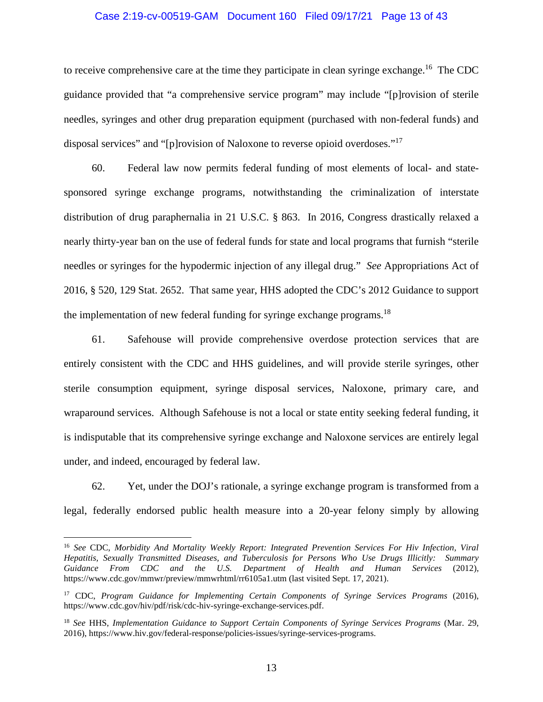## Case 2:19-cv-00519-GAM Document 160 Filed 09/17/21 Page 13 of 43

to receive comprehensive care at the time they participate in clean syringe exchange.<sup>16</sup> The CDC guidance provided that "a comprehensive service program" may include "[p]rovision of sterile needles, syringes and other drug preparation equipment (purchased with non-federal funds) and disposal services" and "[p]rovision of Naloxone to reverse opioid overdoses."<sup>17</sup>

60. Federal law now permits federal funding of most elements of local- and statesponsored syringe exchange programs, notwithstanding the criminalization of interstate distribution of drug paraphernalia in 21 U.S.C. § 863. In 2016, Congress drastically relaxed a nearly thirty-year ban on the use of federal funds for state and local programs that furnish "sterile needles or syringes for the hypodermic injection of any illegal drug." *See* Appropriations Act of 2016, § 520, 129 Stat. 2652. That same year, HHS adopted the CDC's 2012 Guidance to support the implementation of new federal funding for syringe exchange programs.<sup>18</sup>

61. Safehouse will provide comprehensive overdose protection services that are entirely consistent with the CDC and HHS guidelines, and will provide sterile syringes, other sterile consumption equipment, syringe disposal services, Naloxone, primary care, and wraparound services. Although Safehouse is not a local or state entity seeking federal funding, it is indisputable that its comprehensive syringe exchange and Naloxone services are entirely legal under, and indeed, encouraged by federal law.

62. Yet, under the DOJ's rationale, a syringe exchange program is transformed from a legal, federally endorsed public health measure into a 20-year felony simply by allowing

<sup>16</sup> *See* CDC, *Morbidity And Mortality Weekly Report: Integrated Prevention Services For Hiv Infection, Viral Hepatitis, Sexually Transmitted Diseases, and Tuberculosis for Persons Who Use Drugs Illicitly: Summary Guidance From CDC and the U.S. Department of Health and Human Services* (2012), https://www.cdc.gov/mmwr/preview/mmwrhtml/rr6105a1.utm (last visited Sept. 17, 2021).

<sup>&</sup>lt;sup>17</sup> CDC, *Program Guidance for Implementing Certain Components of Syringe Services Programs (2016)*, https://www.cdc.gov/hiv/pdf/risk/cdc-hiv-syringe-exchange-services.pdf.

<sup>18</sup> *See* HHS, *Implementation Guidance to Support Certain Components of Syringe Services Programs* (Mar. 29, 2016), https://www.hiv.gov/federal-response/policies-issues/syringe-services-programs.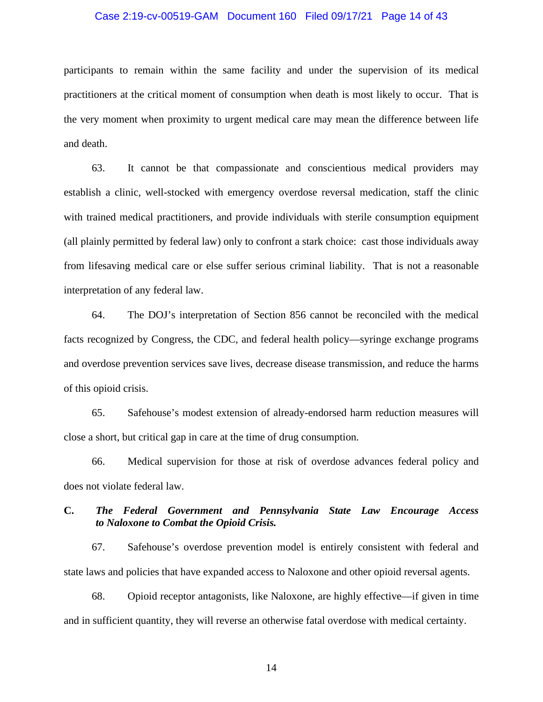## Case 2:19-cv-00519-GAM Document 160 Filed 09/17/21 Page 14 of 43

participants to remain within the same facility and under the supervision of its medical practitioners at the critical moment of consumption when death is most likely to occur. That is the very moment when proximity to urgent medical care may mean the difference between life and death.

63. It cannot be that compassionate and conscientious medical providers may establish a clinic, well-stocked with emergency overdose reversal medication, staff the clinic with trained medical practitioners, and provide individuals with sterile consumption equipment (all plainly permitted by federal law) only to confront a stark choice: cast those individuals away from lifesaving medical care or else suffer serious criminal liability. That is not a reasonable interpretation of any federal law.

64. The DOJ's interpretation of Section 856 cannot be reconciled with the medical facts recognized by Congress, the CDC, and federal health policy—syringe exchange programs and overdose prevention services save lives, decrease disease transmission, and reduce the harms of this opioid crisis.

65. Safehouse's modest extension of already-endorsed harm reduction measures will close a short, but critical gap in care at the time of drug consumption.

66. Medical supervision for those at risk of overdose advances federal policy and does not violate federal law.

## **C.** *The Federal Government and Pennsylvania State Law Encourage Access to Naloxone to Combat the Opioid Crisis.*

67. Safehouse's overdose prevention model is entirely consistent with federal and state laws and policies that have expanded access to Naloxone and other opioid reversal agents.

68. Opioid receptor antagonists, like Naloxone, are highly effective—if given in time and in sufficient quantity, they will reverse an otherwise fatal overdose with medical certainty.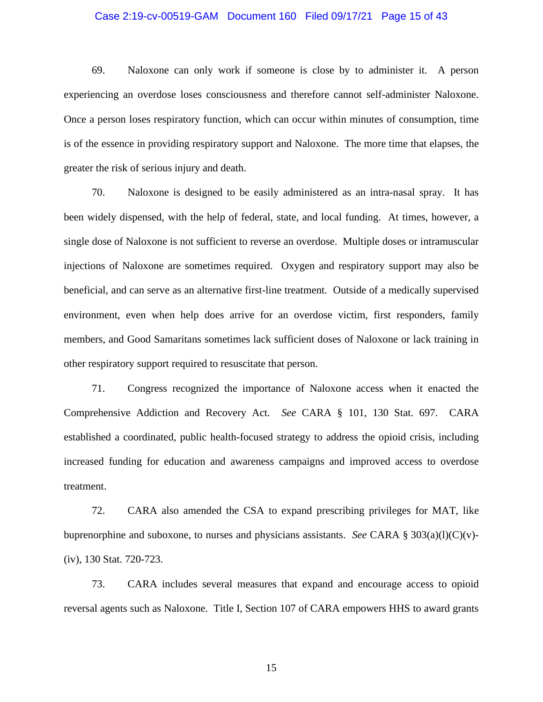## Case 2:19-cv-00519-GAM Document 160 Filed 09/17/21 Page 15 of 43

69. Naloxone can only work if someone is close by to administer it. A person experiencing an overdose loses consciousness and therefore cannot self-administer Naloxone. Once a person loses respiratory function, which can occur within minutes of consumption, time is of the essence in providing respiratory support and Naloxone. The more time that elapses, the greater the risk of serious injury and death.

70. Naloxone is designed to be easily administered as an intra-nasal spray. It has been widely dispensed, with the help of federal, state, and local funding. At times, however, a single dose of Naloxone is not sufficient to reverse an overdose. Multiple doses or intramuscular injections of Naloxone are sometimes required. Oxygen and respiratory support may also be beneficial, and can serve as an alternative first-line treatment. Outside of a medically supervised environment, even when help does arrive for an overdose victim, first responders, family members, and Good Samaritans sometimes lack sufficient doses of Naloxone or lack training in other respiratory support required to resuscitate that person.

71. Congress recognized the importance of Naloxone access when it enacted the Comprehensive Addiction and Recovery Act. *See* CARA § 101, 130 Stat. 697. CARA established a coordinated, public health-focused strategy to address the opioid crisis, including increased funding for education and awareness campaigns and improved access to overdose treatment.

72. CARA also amended the CSA to expand prescribing privileges for MAT, like buprenorphine and suboxone, to nurses and physicians assistants. *See* CARA § 303(a)(l)(C)(v)-(iv), 130 Stat. 720-723.

73. CARA includes several measures that expand and encourage access to opioid reversal agents such as Naloxone. Title I, Section 107 of CARA empowers HHS to award grants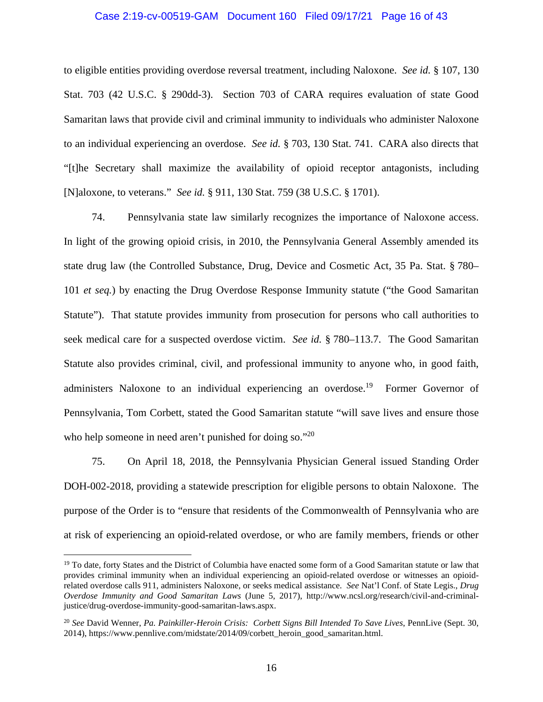## Case 2:19-cv-00519-GAM Document 160 Filed 09/17/21 Page 16 of 43

to eligible entities providing overdose reversal treatment, including Naloxone. *See id.* § 107, 130 Stat. 703 (42 U.S.C. § 290dd-3). Section 703 of CARA requires evaluation of state Good Samaritan laws that provide civil and criminal immunity to individuals who administer Naloxone to an individual experiencing an overdose. *See id.* § 703, 130 Stat. 741. CARA also directs that "[t]he Secretary shall maximize the availability of opioid receptor antagonists, including [N]aloxone, to veterans." *See id.* § 911, 130 Stat. 759 (38 U.S.C. § 1701).

74. Pennsylvania state law similarly recognizes the importance of Naloxone access. In light of the growing opioid crisis, in 2010, the Pennsylvania General Assembly amended its state drug law (the Controlled Substance, Drug, Device and Cosmetic Act, 35 Pa. Stat. § 780– 101 *et seq.*) by enacting the Drug Overdose Response Immunity statute ("the Good Samaritan Statute"). That statute provides immunity from prosecution for persons who call authorities to seek medical care for a suspected overdose victim. *See id.* § 780–113.7. The Good Samaritan Statute also provides criminal, civil, and professional immunity to anyone who, in good faith, administers Naloxone to an individual experiencing an overdose.<sup>19</sup> Former Governor of Pennsylvania, Tom Corbett, stated the Good Samaritan statute "will save lives and ensure those who help someone in need aren't punished for doing so."20

75. On April 18, 2018, the Pennsylvania Physician General issued Standing Order DOH-002-2018, providing a statewide prescription for eligible persons to obtain Naloxone. The purpose of the Order is to "ensure that residents of the Commonwealth of Pennsylvania who are at risk of experiencing an opioid-related overdose, or who are family members, friends or other

<sup>&</sup>lt;sup>19</sup> To date, forty States and the District of Columbia have enacted some form of a Good Samaritan statute or law that provides criminal immunity when an individual experiencing an opioid-related overdose or witnesses an opioidrelated overdose calls 911, administers Naloxone, or seeks medical assistance. *See* Nat'l Conf. of State Legis., *Drug Overdose Immunity and Good Samaritan Laws* (June 5, 2017), http://www.ncsl.org/research/civil-and-criminaljustice/drug-overdose-immunity-good-samaritan-laws.aspx.

<sup>20</sup> *See* David Wenner, *Pa. Painkiller-Heroin Crisis: Corbett Signs Bill Intended To Save Lives*, PennLive (Sept. 30, 2014), [https://www.pennlive.com/midstate/2014/09/corbett\\_heroin\\_good\\_samaritan.html.](https://www.pennlive.com/midstate/2014/09/corbett_heroin_good_samaritan.html)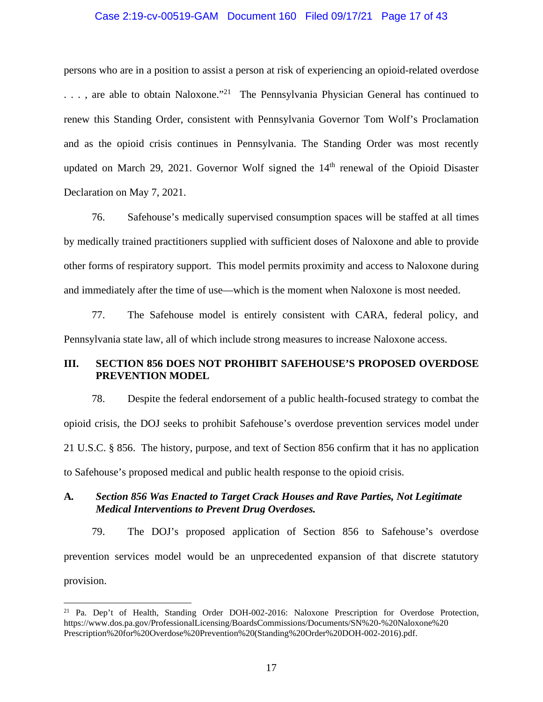## Case 2:19-cv-00519-GAM Document 160 Filed 09/17/21 Page 17 of 43

persons who are in a position to assist a person at risk of experiencing an opioid-related overdose  $\ldots$ , are able to obtain Naloxone."<sup>21</sup> The Pennsylvania Physician General has continued to renew this Standing Order, consistent with Pennsylvania Governor Tom Wolf's Proclamation and as the opioid crisis continues in Pennsylvania. The Standing Order was most recently updated on March 29, 2021. Governor Wolf signed the  $14<sup>th</sup>$  renewal of the Opioid Disaster Declaration on May 7, 2021.

76. Safehouse's medically supervised consumption spaces will be staffed at all times by medically trained practitioners supplied with sufficient doses of Naloxone and able to provide other forms of respiratory support. This model permits proximity and access to Naloxone during and immediately after the time of use—which is the moment when Naloxone is most needed.

77. The Safehouse model is entirely consistent with CARA, federal policy, and Pennsylvania state law, all of which include strong measures to increase Naloxone access.

## **III. SECTION 856 DOES NOT PROHIBIT SAFEHOUSE'S PROPOSED OVERDOSE PREVENTION MODEL**

78. Despite the federal endorsement of a public health-focused strategy to combat the opioid crisis, the DOJ seeks to prohibit Safehouse's overdose prevention services model under 21 U.S.C. § 856. The history, purpose, and text of Section 856 confirm that it has no application to Safehouse's proposed medical and public health response to the opioid crisis.

## **A***. Section 856 Was Enacted to Target Crack Houses and Rave Parties, Not Legitimate Medical Interventions to Prevent Drug Overdoses.*

79. The DOJ's proposed application of Section 856 to Safehouse's overdose prevention services model would be an unprecedented expansion of that discrete statutory provision.

<sup>21</sup> Pa. Dep't of Health, Standing Order DOH-002-2016: Naloxone Prescription for Overdose Protection, https://www.dos.pa.gov/ProfessionalLicensing/BoardsCommissions/Documents/SN%20-%20Naloxone%20 Prescription%20for%20Overdose%20Prevention%20(Standing%20Order%20DOH-002-2016).pdf.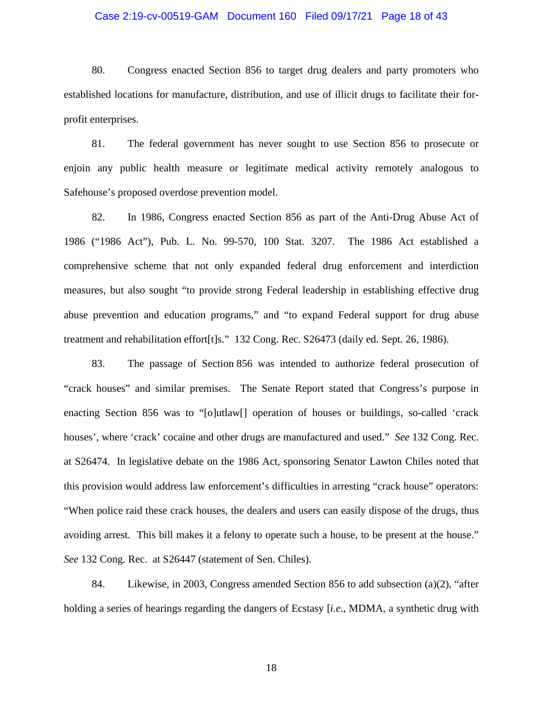## Case 2:19-cv-00519-GAM Document 160 Filed 09/17/21 Page 18 of 43

80. Congress enacted Section 856 to target drug dealers and party promoters who established locations for manufacture, distribution, and use of illicit drugs to facilitate their forprofit enterprises.

81. The federal government has never sought to use Section 856 to prosecute or enjoin any public health measure or legitimate medical activity remotely analogous to Safehouse's proposed overdose prevention model.

82. In 1986, Congress enacted Section 856 as part of the Anti-Drug Abuse Act of 1986 ("1986 Act"), Pub. L. No. 99-570, 100 Stat. 3207. The 1986 Act established a comprehensive scheme that not only expanded federal drug enforcement and interdiction measures, but also sought "to provide strong Federal leadership in establishing effective drug abuse prevention and education programs," and "to expand Federal support for drug abuse treatment and rehabilitation effort[t]s." 132 Cong. Rec. S26473 (daily ed. Sept. 26, 1986).

83. The passage of Section 856 was intended to authorize federal prosecution of "crack houses" and similar premises. The Senate Report stated that Congress's purpose in enacting Section 856 was to "[o]utlaw[] operation of houses or buildings, so-called 'crack houses', where 'crack' cocaine and other drugs are manufactured and used." *See* 132 Cong. Rec. at S26474. In legislative debate on the 1986 Act, sponsoring Senator Lawton Chiles noted that this provision would address law enforcement's difficulties in arresting "crack house" operators: "When police raid these crack houses, the dealers and users can easily dispose of the drugs, thus avoiding arrest. This bill makes it a felony to operate such a house, to be present at the house." *See* 132 Cong. Rec. at S26447 (statement of Sen. Chiles).

84. Likewise, in 2003, Congress amended Section 856 to add subsection (a)(2), "after holding a series of hearings regarding the dangers of Ecstasy [*i.e*., MDMA, a synthetic drug with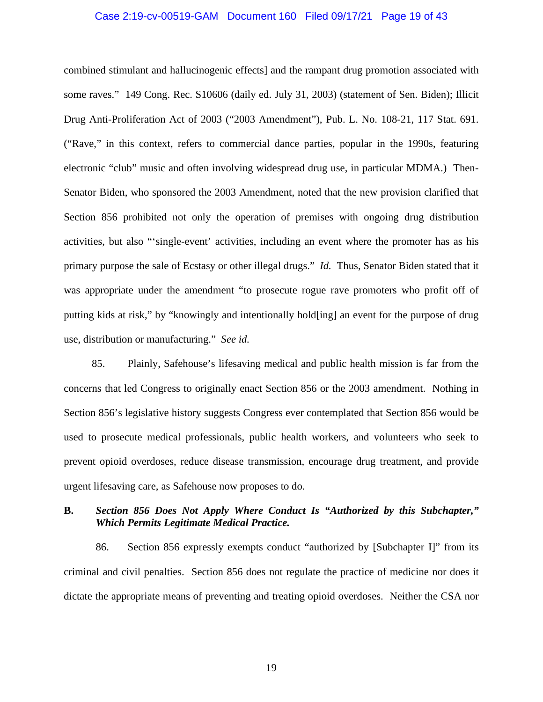## Case 2:19-cv-00519-GAM Document 160 Filed 09/17/21 Page 19 of 43

combined stimulant and hallucinogenic effects] and the rampant drug promotion associated with some raves." 149 Cong. Rec. S10606 (daily ed. July 31, 2003) (statement of Sen. Biden); Illicit Drug Anti-Proliferation Act of 2003 ("2003 Amendment"), Pub. L. No. 108-21, 117 Stat. 691. ("Rave," in this context, refers to commercial dance parties, popular in the 1990s, featuring electronic "club" music and often involving widespread drug use, in particular MDMA.) Then-Senator Biden, who sponsored the 2003 Amendment, noted that the new provision clarified that Section 856 prohibited not only the operation of premises with ongoing drug distribution activities, but also "'single-event' activities, including an event where the promoter has as his primary purpose the sale of Ecstasy or other illegal drugs." *Id.* Thus, Senator Biden stated that it was appropriate under the amendment "to prosecute rogue rave promoters who profit off of putting kids at risk," by "knowingly and intentionally hold[ing] an event for the purpose of drug use, distribution or manufacturing." *See id.*

85. Plainly, Safehouse's lifesaving medical and public health mission is far from the concerns that led Congress to originally enact Section 856 or the 2003 amendment. Nothing in Section 856's legislative history suggests Congress ever contemplated that Section 856 would be used to prosecute medical professionals, public health workers, and volunteers who seek to prevent opioid overdoses, reduce disease transmission, encourage drug treatment, and provide urgent lifesaving care, as Safehouse now proposes to do.

## **B.** *Section 856 Does Not Apply Where Conduct Is "Authorized by this Subchapter," Which Permits Legitimate Medical Practice.*

86. Section 856 expressly exempts conduct "authorized by [Subchapter I]" from its criminal and civil penalties. Section 856 does not regulate the practice of medicine nor does it dictate the appropriate means of preventing and treating opioid overdoses. Neither the CSA nor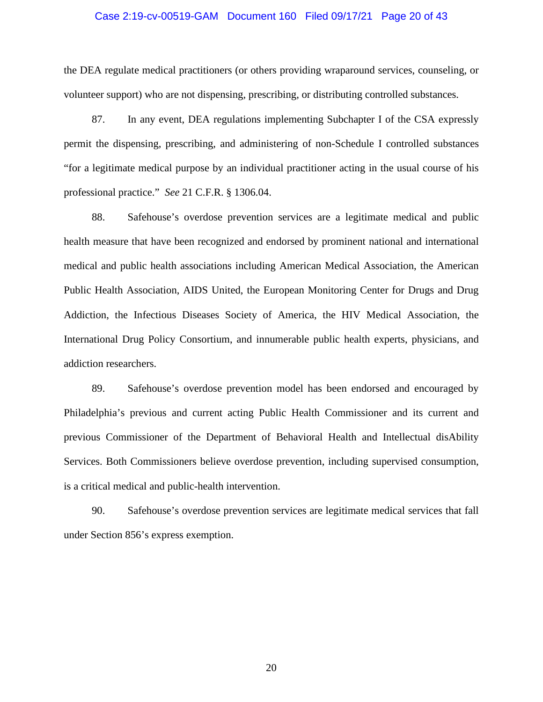### Case 2:19-cv-00519-GAM Document 160 Filed 09/17/21 Page 20 of 43

the DEA regulate medical practitioners (or others providing wraparound services, counseling, or volunteer support) who are not dispensing, prescribing, or distributing controlled substances.

87. In any event, DEA regulations implementing Subchapter I of the CSA expressly permit the dispensing, prescribing, and administering of non-Schedule I controlled substances "for a legitimate medical purpose by an individual practitioner acting in the usual course of his professional practice." *See* 21 C.F.R. § 1306.04.

88. Safehouse's overdose prevention services are a legitimate medical and public health measure that have been recognized and endorsed by prominent national and international medical and public health associations including American Medical Association, the American Public Health Association, AIDS United, the European Monitoring Center for Drugs and Drug Addiction, the Infectious Diseases Society of America, the HIV Medical Association, the International Drug Policy Consortium, and innumerable public health experts, physicians, and addiction researchers.

89. Safehouse's overdose prevention model has been endorsed and encouraged by Philadelphia's previous and current acting Public Health Commissioner and its current and previous Commissioner of the Department of Behavioral Health and Intellectual disAbility Services. Both Commissioners believe overdose prevention, including supervised consumption, is a critical medical and public-health intervention.

90. Safehouse's overdose prevention services are legitimate medical services that fall under Section 856's express exemption.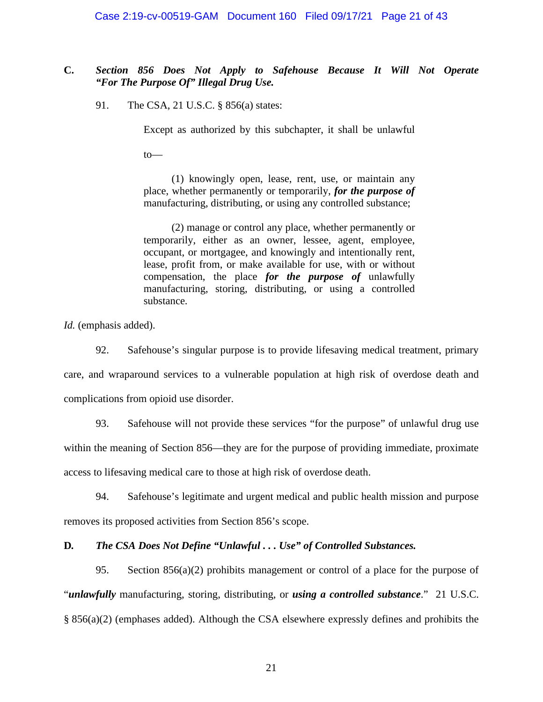## **C.** *Section 856 Does Not Apply to Safehouse Because It Will Not Operate "For The Purpose Of" Illegal Drug Use.*

91. The CSA, 21 U.S.C. § 856(a) states:

Except as authorized by this subchapter, it shall be unlawful

to—

(1) knowingly open, lease, rent, use, or maintain any place, whether permanently or temporarily, *for the purpose of* manufacturing, distributing, or using any controlled substance;

(2) manage or control any place, whether permanently or temporarily, either as an owner, lessee, agent, employee, occupant, or mortgagee, and knowingly and intentionally rent, lease, profit from, or make available for use, with or without compensation, the place *for the purpose of* unlawfully manufacturing, storing, distributing, or using a controlled substance.

*Id.* (emphasis added).

92. Safehouse's singular purpose is to provide lifesaving medical treatment, primary care, and wraparound services to a vulnerable population at high risk of overdose death and complications from opioid use disorder.

93. Safehouse will not provide these services "for the purpose" of unlawful drug use within the meaning of Section 856—they are for the purpose of providing immediate, proximate access to lifesaving medical care to those at high risk of overdose death.

94. Safehouse's legitimate and urgent medical and public health mission and purpose removes its proposed activities from Section 856's scope.

## **D***. The CSA Does Not Define "Unlawful . . . Use" of Controlled Substances.*

95. Section 856(a)(2) prohibits management or control of a place for the purpose of "*unlawfully* manufacturing, storing, distributing, or *using a controlled substance*." 21 U.S.C. § 856(a)(2) (emphases added). Although the CSA elsewhere expressly defines and prohibits the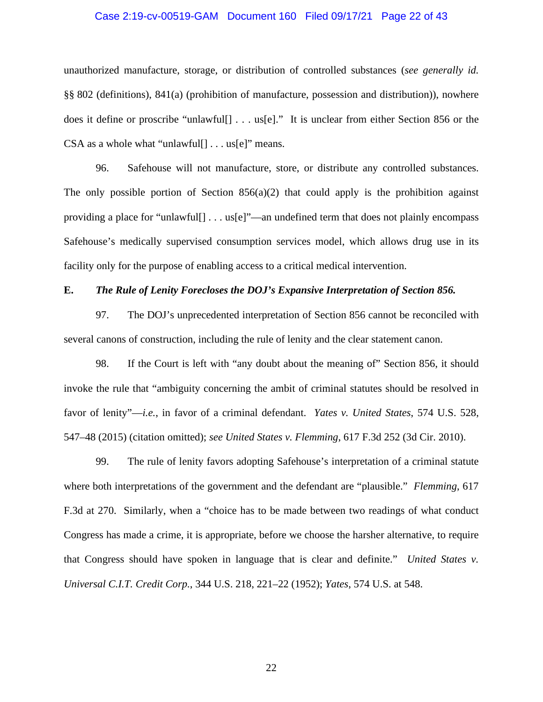## Case 2:19-cv-00519-GAM Document 160 Filed 09/17/21 Page 22 of 43

unauthorized manufacture, storage, or distribution of controlled substances (*see generally id.* §§ 802 (definitions), 841(a) (prohibition of manufacture, possession and distribution)), nowhere does it define or proscribe "unlawful[] . . . us[e]." It is unclear from either Section 856 or the CSA as a whole what "unlawful[ $] \ldots$  us[ $e$ ]" means.

96. Safehouse will not manufacture, store, or distribute any controlled substances. The only possible portion of Section  $856(a)(2)$  that could apply is the prohibition against providing a place for "unlawful[] . . . us[e]"—an undefined term that does not plainly encompass Safehouse's medically supervised consumption services model, which allows drug use in its facility only for the purpose of enabling access to a critical medical intervention.

## **E.** *The Rule of Lenity Forecloses the DOJ's Expansive Interpretation of Section 856.*

97. The DOJ's unprecedented interpretation of Section 856 cannot be reconciled with several canons of construction, including the rule of lenity and the clear statement canon.

98. If the Court is left with "any doubt about the meaning of" Section 856, it should invoke the rule that "ambiguity concerning the ambit of criminal statutes should be resolved in favor of lenity"—*i.e.*, in favor of a criminal defendant. *Yates v. United States*, 574 U.S. 528, 547–48 (2015) (citation omitted); *see United States v. Flemming*, 617 F.3d 252 (3d Cir. 2010).

99. The rule of lenity favors adopting Safehouse's interpretation of a criminal statute where both interpretations of the government and the defendant are "plausible." *Flemming*, 617 F.3d at 270. Similarly, when a "choice has to be made between two readings of what conduct Congress has made a crime, it is appropriate, before we choose the harsher alternative, to require that Congress should have spoken in language that is clear and definite." *United States v. Universal C.I.T. Credit Corp.*, 344 U.S. 218, 221–22 (1952); *Yates*, 574 U.S. at 548.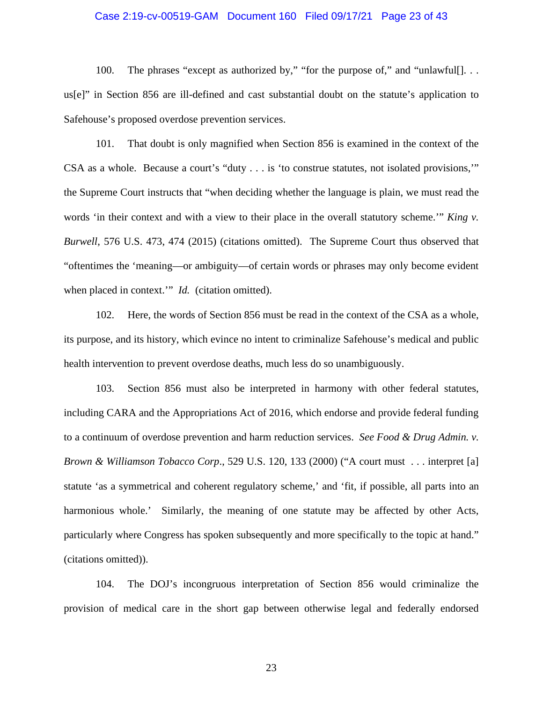## Case 2:19-cv-00519-GAM Document 160 Filed 09/17/21 Page 23 of 43

100. The phrases "except as authorized by," "for the purpose of," and "unlawful[]... us[e]" in Section 856 are ill-defined and cast substantial doubt on the statute's application to Safehouse's proposed overdose prevention services.

101. That doubt is only magnified when Section 856 is examined in the context of the CSA as a whole. Because a court's "duty . . . is 'to construe statutes, not isolated provisions,'" the Supreme Court instructs that "when deciding whether the language is plain, we must read the words 'in their context and with a view to their place in the overall statutory scheme.'" *King v. Burwell*, 576 U.S. 473, 474 (2015) (citations omitted). The Supreme Court thus observed that "oftentimes the 'meaning—or ambiguity—of certain words or phrases may only become evident when placed in context." *Id.* (citation omitted).

102. Here, the words of Section 856 must be read in the context of the CSA as a whole, its purpose, and its history, which evince no intent to criminalize Safehouse's medical and public health intervention to prevent overdose deaths, much less do so unambiguously.

103. Section 856 must also be interpreted in harmony with other federal statutes, including CARA and the Appropriations Act of 2016, which endorse and provide federal funding to a continuum of overdose prevention and harm reduction services. *See Food & Drug Admin. v. Brown & Williamson Tobacco Corp*., 529 U.S. 120, 133 (2000) ("A court must . . . interpret [a] statute 'as a symmetrical and coherent regulatory scheme,' and 'fit, if possible, all parts into an harmonious whole.' Similarly, the meaning of one statute may be affected by other Acts, particularly where Congress has spoken subsequently and more specifically to the topic at hand." (citations omitted)).

104. The DOJ's incongruous interpretation of Section 856 would criminalize the provision of medical care in the short gap between otherwise legal and federally endorsed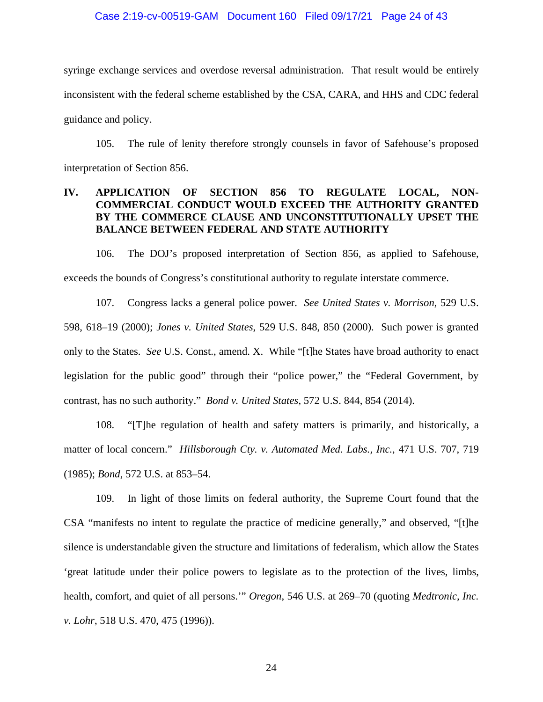### Case 2:19-cv-00519-GAM Document 160 Filed 09/17/21 Page 24 of 43

syringe exchange services and overdose reversal administration. That result would be entirely inconsistent with the federal scheme established by the CSA, CARA, and HHS and CDC federal guidance and policy.

105. The rule of lenity therefore strongly counsels in favor of Safehouse's proposed interpretation of Section 856.

## **IV. APPLICATION OF SECTION 856 TO REGULATE LOCAL, NON-COMMERCIAL CONDUCT WOULD EXCEED THE AUTHORITY GRANTED BY THE COMMERCE CLAUSE AND UNCONSTITUTIONALLY UPSET THE BALANCE BETWEEN FEDERAL AND STATE AUTHORITY**

106. The DOJ's proposed interpretation of Section 856, as applied to Safehouse, exceeds the bounds of Congress's constitutional authority to regulate interstate commerce.

107. Congress lacks a general police power. *See United States v. Morrison*, 529 U.S. 598, 618–19 (2000); *Jones v. United States*, 529 U.S. 848, 850 (2000). Such power is granted only to the States. *See* U.S. Const., amend. X. While "[t]he States have broad authority to enact legislation for the public good" through their "police power," the "Federal Government, by contrast, has no such authority." *Bond v. United States*, 572 U.S. 844, 854 (2014).

108. "[T]he regulation of health and safety matters is primarily, and historically, a matter of local concern." *Hillsborough Cty. v. Automated Med. Labs., Inc.*, 471 U.S. 707, 719 (1985); *Bond*, 572 U.S. at 853–54.

109. In light of those limits on federal authority, the Supreme Court found that the CSA "manifests no intent to regulate the practice of medicine generally," and observed, "[t]he silence is understandable given the structure and limitations of federalism, which allow the States 'great latitude under their police powers to legislate as to the protection of the lives, limbs, health, comfort, and quiet of all persons.'" *Oregon*, 546 U.S. at 269–70 (quoting *Medtronic, Inc. v. Lohr*, 518 U.S. 470, 475 (1996)).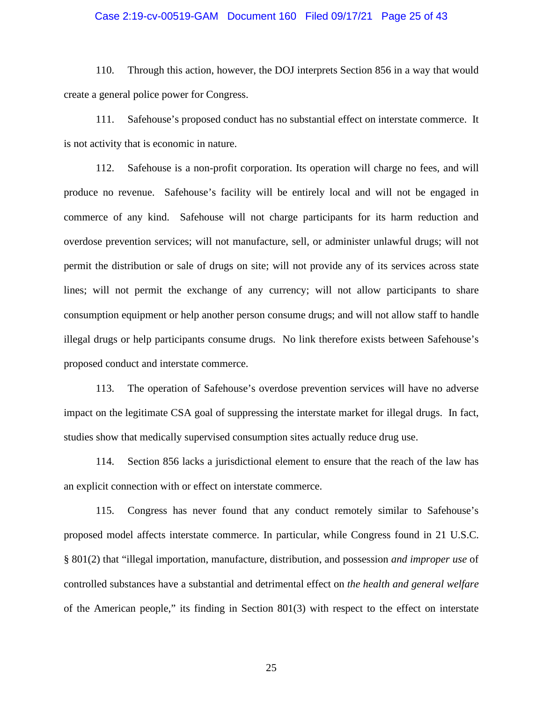## Case 2:19-cv-00519-GAM Document 160 Filed 09/17/21 Page 25 of 43

110. Through this action, however, the DOJ interprets Section 856 in a way that would create a general police power for Congress.

111. Safehouse's proposed conduct has no substantial effect on interstate commerce. It is not activity that is economic in nature.

112. Safehouse is a non-profit corporation. Its operation will charge no fees, and will produce no revenue. Safehouse's facility will be entirely local and will not be engaged in commerce of any kind. Safehouse will not charge participants for its harm reduction and overdose prevention services; will not manufacture, sell, or administer unlawful drugs; will not permit the distribution or sale of drugs on site; will not provide any of its services across state lines; will not permit the exchange of any currency; will not allow participants to share consumption equipment or help another person consume drugs; and will not allow staff to handle illegal drugs or help participants consume drugs. No link therefore exists between Safehouse's proposed conduct and interstate commerce.

113. The operation of Safehouse's overdose prevention services will have no adverse impact on the legitimate CSA goal of suppressing the interstate market for illegal drugs. In fact, studies show that medically supervised consumption sites actually reduce drug use.

114. Section 856 lacks a jurisdictional element to ensure that the reach of the law has an explicit connection with or effect on interstate commerce.

115. Congress has never found that any conduct remotely similar to Safehouse's proposed model affects interstate commerce. In particular, while Congress found in 21 U.S.C. § 801(2) that "illegal importation, manufacture, distribution, and possession *and improper use* of controlled substances have a substantial and detrimental effect on *the health and general welfare* of the American people," its finding in Section 801(3) with respect to the effect on interstate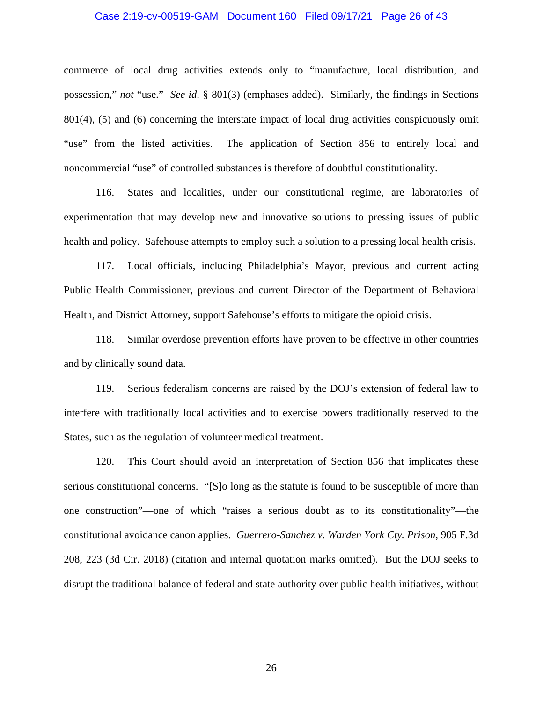## Case 2:19-cv-00519-GAM Document 160 Filed 09/17/21 Page 26 of 43

commerce of local drug activities extends only to "manufacture, local distribution, and possession," *not* "use." *See id*. § 801(3) (emphases added). Similarly, the findings in Sections 801(4), (5) and (6) concerning the interstate impact of local drug activities conspicuously omit "use" from the listed activities. The application of Section 856 to entirely local and noncommercial "use" of controlled substances is therefore of doubtful constitutionality.

116. States and localities, under our constitutional regime, are laboratories of experimentation that may develop new and innovative solutions to pressing issues of public health and policy. Safehouse attempts to employ such a solution to a pressing local health crisis.

117. Local officials, including Philadelphia's Mayor, previous and current acting Public Health Commissioner, previous and current Director of the Department of Behavioral Health, and District Attorney, support Safehouse's efforts to mitigate the opioid crisis.

118. Similar overdose prevention efforts have proven to be effective in other countries and by clinically sound data.

119. Serious federalism concerns are raised by the DOJ's extension of federal law to interfere with traditionally local activities and to exercise powers traditionally reserved to the States, such as the regulation of volunteer medical treatment.

120. This Court should avoid an interpretation of Section 856 that implicates these serious constitutional concerns. "[S]o long as the statute is found to be susceptible of more than one construction"—one of which "raises a serious doubt as to its constitutionality"—the constitutional avoidance canon applies. *Guerrero-Sanchez v. Warden York Cty. Prison*, 905 F.3d 208, 223 (3d Cir. 2018) (citation and internal quotation marks omitted). But the DOJ seeks to disrupt the traditional balance of federal and state authority over public health initiatives, without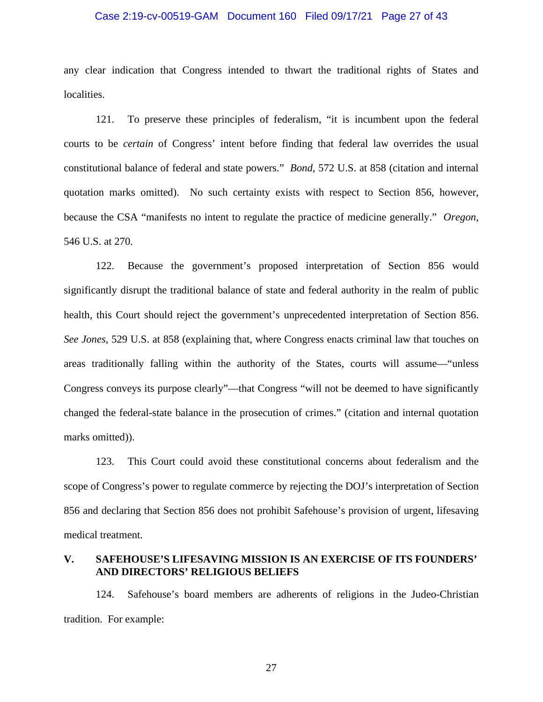## Case 2:19-cv-00519-GAM Document 160 Filed 09/17/21 Page 27 of 43

any clear indication that Congress intended to thwart the traditional rights of States and localities.

121. To preserve these principles of federalism, "it is incumbent upon the federal courts to be *certain* of Congress' intent before finding that federal law overrides the usual constitutional balance of federal and state powers." *Bond*, 572 U.S. at 858 (citation and internal quotation marks omitted). No such certainty exists with respect to Section 856, however, because the CSA "manifests no intent to regulate the practice of medicine generally." *Oregon*, 546 U.S. at 270.

122. Because the government's proposed interpretation of Section 856 would significantly disrupt the traditional balance of state and federal authority in the realm of public health, this Court should reject the government's unprecedented interpretation of Section 856. *See Jones*, 529 U.S. at 858 (explaining that, where Congress enacts criminal law that touches on areas traditionally falling within the authority of the States, courts will assume—"unless Congress conveys its purpose clearly"—that Congress "will not be deemed to have significantly changed the federal-state balance in the prosecution of crimes." (citation and internal quotation marks omitted)).

123. This Court could avoid these constitutional concerns about federalism and the scope of Congress's power to regulate commerce by rejecting the DOJ's interpretation of Section 856 and declaring that Section 856 does not prohibit Safehouse's provision of urgent, lifesaving medical treatment.

## **V. SAFEHOUSE'S LIFESAVING MISSION IS AN EXERCISE OF ITS FOUNDERS' AND DIRECTORS' RELIGIOUS BELIEFS**

124. Safehouse's board members are adherents of religions in the Judeo-Christian tradition. For example: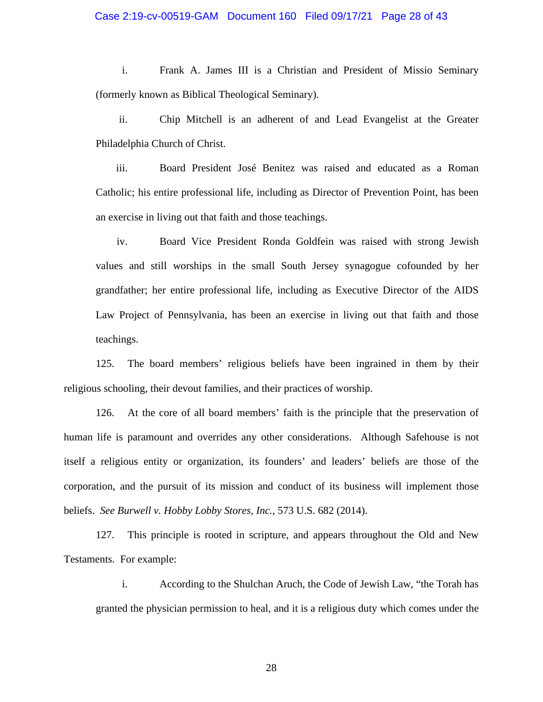i. Frank A. James III is a Christian and President of Missio Seminary (formerly known as Biblical Theological Seminary).

ii. Chip Mitchell is an adherent of and Lead Evangelist at the Greater Philadelphia Church of Christ.

iii. Board President José Benitez was raised and educated as a Roman Catholic; his entire professional life, including as Director of Prevention Point, has been an exercise in living out that faith and those teachings.

iv. Board Vice President Ronda Goldfein was raised with strong Jewish values and still worships in the small South Jersey synagogue cofounded by her grandfather; her entire professional life, including as Executive Director of the AIDS Law Project of Pennsylvania, has been an exercise in living out that faith and those teachings.

125. The board members' religious beliefs have been ingrained in them by their religious schooling, their devout families, and their practices of worship.

126. At the core of all board members' faith is the principle that the preservation of human life is paramount and overrides any other considerations. Although Safehouse is not itself a religious entity or organization, its founders' and leaders' beliefs are those of the corporation, and the pursuit of its mission and conduct of its business will implement those beliefs. *See Burwell v. Hobby Lobby Stores, Inc.*, 573 U.S. 682 (2014).

127. This principle is rooted in scripture, and appears throughout the Old and New Testaments. For example:

i. According to the Shulchan Aruch, the Code of Jewish Law, "the Torah has granted the physician permission to heal, and it is a religious duty which comes under the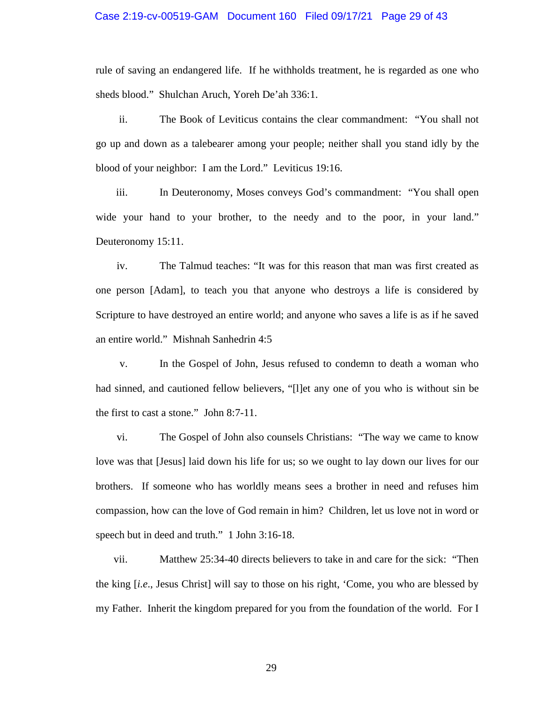### Case 2:19-cv-00519-GAM Document 160 Filed 09/17/21 Page 29 of 43

rule of saving an endangered life. If he withholds treatment, he is regarded as one who sheds blood." Shulchan Aruch, Yoreh De'ah 336:1.

ii. The Book of Leviticus contains the clear commandment: "You shall not go up and down as a talebearer among your people; neither shall you stand idly by the blood of your neighbor: I am the Lord." Leviticus 19:16.

iii. In Deuteronomy, Moses conveys God's commandment: "You shall open wide your hand to your brother, to the needy and to the poor, in your land." Deuteronomy 15:11.

iv. The Talmud teaches: "It was for this reason that man was first created as one person [Adam], to teach you that anyone who destroys a life is considered by Scripture to have destroyed an entire world; and anyone who saves a life is as if he saved an entire world." Mishnah Sanhedrin 4:5

v. In the Gospel of John, Jesus refused to condemn to death a woman who had sinned, and cautioned fellow believers, "[l]et any one of you who is without sin be the first to cast a stone." John 8:7-11.

vi. The Gospel of John also counsels Christians: "The way we came to know love was that [Jesus] laid down his life for us; so we ought to lay down our lives for our brothers. If someone who has worldly means sees a brother in need and refuses him compassion, how can the love of God remain in him? Children, let us love not in word or speech but in deed and truth." 1 John 3:16-18.

vii. Matthew 25:34-40 directs believers to take in and care for the sick: "Then the king [*i.e*., Jesus Christ] will say to those on his right, 'Come, you who are blessed by my Father. Inherit the kingdom prepared for you from the foundation of the world. For I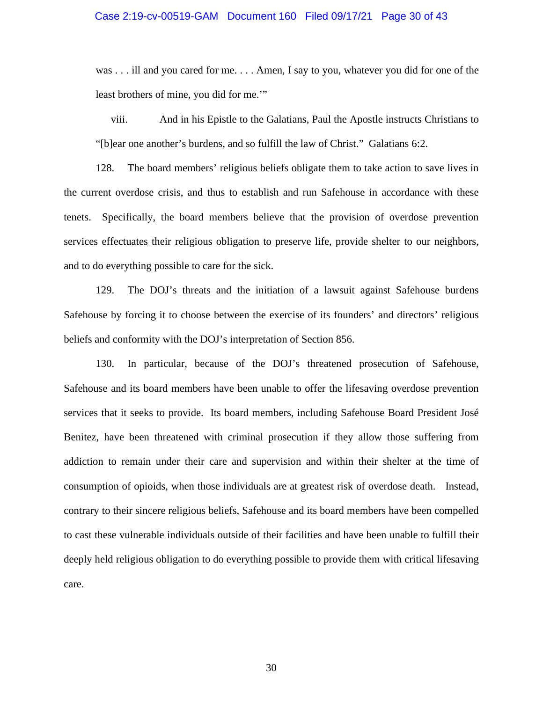## Case 2:19-cv-00519-GAM Document 160 Filed 09/17/21 Page 30 of 43

was . . . ill and you cared for me. . . . Amen, I say to you, whatever you did for one of the least brothers of mine, you did for me.'"

viii. And in his Epistle to the Galatians, Paul the Apostle instructs Christians to "[b]ear one another's burdens, and so fulfill the law of Christ." Galatians 6:2.

128. The board members' religious beliefs obligate them to take action to save lives in the current overdose crisis, and thus to establish and run Safehouse in accordance with these tenets. Specifically, the board members believe that the provision of overdose prevention services effectuates their religious obligation to preserve life, provide shelter to our neighbors, and to do everything possible to care for the sick.

129. The DOJ's threats and the initiation of a lawsuit against Safehouse burdens Safehouse by forcing it to choose between the exercise of its founders' and directors' religious beliefs and conformity with the DOJ's interpretation of Section 856.

130. In particular, because of the DOJ's threatened prosecution of Safehouse, Safehouse and its board members have been unable to offer the lifesaving overdose prevention services that it seeks to provide. Its board members, including Safehouse Board President José Benitez, have been threatened with criminal prosecution if they allow those suffering from addiction to remain under their care and supervision and within their shelter at the time of consumption of opioids, when those individuals are at greatest risk of overdose death. Instead, contrary to their sincere religious beliefs, Safehouse and its board members have been compelled to cast these vulnerable individuals outside of their facilities and have been unable to fulfill their deeply held religious obligation to do everything possible to provide them with critical lifesaving care.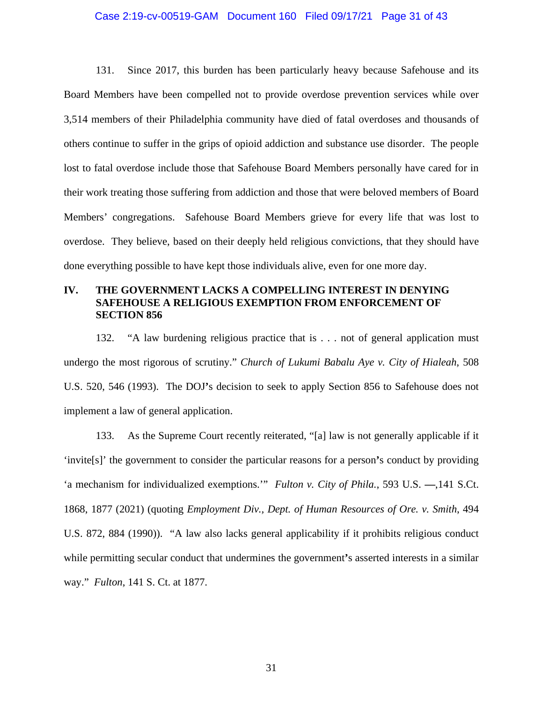### Case 2:19-cv-00519-GAM Document 160 Filed 09/17/21 Page 31 of 43

131. Since 2017, this burden has been particularly heavy because Safehouse and its Board Members have been compelled not to provide overdose prevention services while over 3,514 members of their Philadelphia community have died of fatal overdoses and thousands of others continue to suffer in the grips of opioid addiction and substance use disorder. The people lost to fatal overdose include those that Safehouse Board Members personally have cared for in their work treating those suffering from addiction and those that were beloved members of Board Members' congregations. Safehouse Board Members grieve for every life that was lost to overdose. They believe, based on their deeply held religious convictions, that they should have done everything possible to have kept those individuals alive, even for one more day.

## **IV. THE GOVERNMENT LACKS A COMPELLING INTEREST IN DENYING SAFEHOUSE A RELIGIOUS EXEMPTION FROM ENFORCEMENT OF SECTION 856**

132. "A law burdening religious practice that is . . . not of general application must undergo the most rigorous of scrutiny." *Church of Lukumi Babalu Aye v. City of Hialeah*, 508 U.S. 520, 546 (1993). The DOJ**'**s decision to seek to apply Section 856 to Safehouse does not implement a law of general application.

133. As the Supreme Court recently reiterated, "[a] law is not generally applicable if it 'invite[s]' the government to consider the particular reasons for a person**'**s conduct by providing 'a mechanism for individualized exemptions.'" *Fulton v. City of Phila.*, 593 U.S. **—**,141 S.Ct. 1868, 1877 (2021) (quoting *Employment Div., Dept. of Human Resources of Ore. v. Smith*, 494 U.S. 872, 884 (1990)). "A law also lacks general applicability if it prohibits religious conduct while permitting secular conduct that undermines the government**'**s asserted interests in a similar way." *Fulton*, 141 S. Ct. at 1877.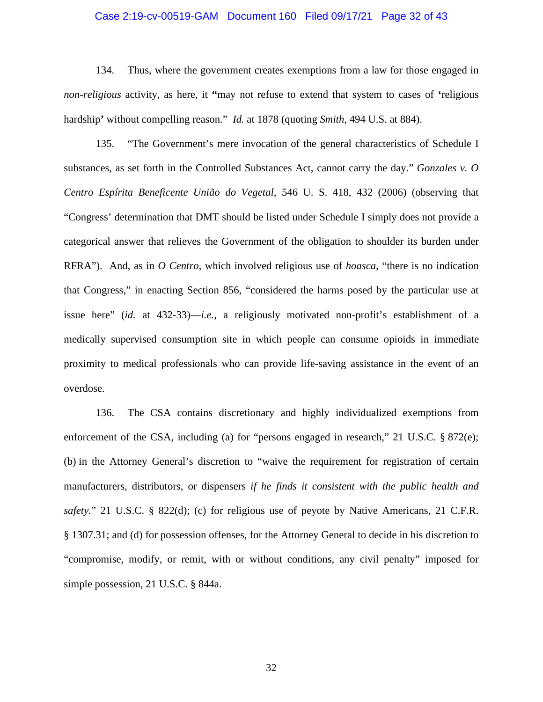## Case 2:19-cv-00519-GAM Document 160 Filed 09/17/21 Page 32 of 43

134. Thus, where the government creates exemptions from a law for those engaged in *non-religious* activity, as here, it **"**may not refuse to extend that system to cases of **'**religious hardship**'** without compelling reason." *Id.* at 1878 (quoting *Smith*, 494 U.S. at 884).

135. "The Government's mere invocation of the general characteristics of Schedule I substances, as set forth in the Controlled Substances Act, cannot carry the day." *Gonzales v. O Centro Espírita Beneficente União do Vegetal*, 546 U. S. 418, 432 (2006) (observing that "Congress' determination that DMT should be listed under Schedule I simply does not provide a categorical answer that relieves the Government of the obligation to shoulder its burden under RFRA"). And, as in *O Centro*, which involved religious use of *hoasca*, "there is no indication that Congress," in enacting Section 856, "considered the harms posed by the particular use at issue here" (*id.* at 432-33)—*i.e.*, a religiously motivated non-profit's establishment of a medically supervised consumption site in which people can consume opioids in immediate proximity to medical professionals who can provide life-saving assistance in the event of an overdose.

136. The CSA contains discretionary and highly individualized exemptions from enforcement of the CSA, including (a) for "persons engaged in research," 21 U.S.C.  $\S 872(e)$ ; (b) in the Attorney General's discretion to "waive the requirement for registration of certain manufacturers, distributors, or dispensers *if he finds it consistent with the public health and safety.*" 21 U.S.C. § 822(d); (c) for religious use of peyote by Native Americans, 21 C.F.R. § 1307.31; and (d) for possession offenses, for the Attorney General to decide in his discretion to "compromise, modify, or remit, with or without conditions, any civil penalty" imposed for simple possession, 21 U.S.C. § 844a.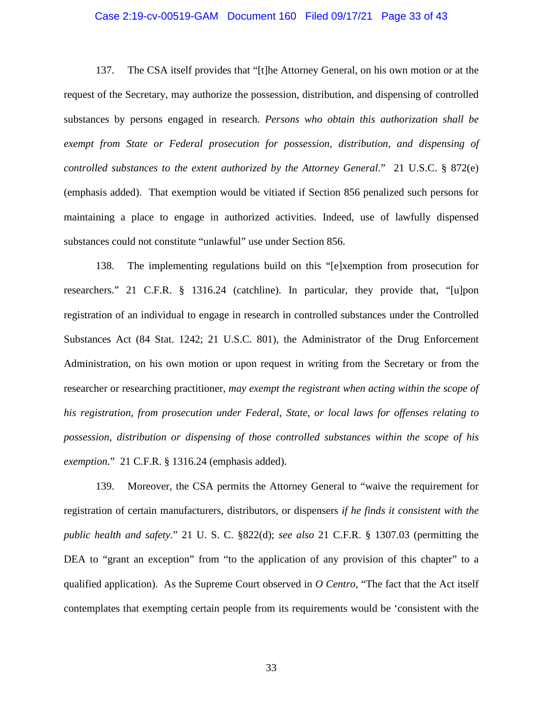## Case 2:19-cv-00519-GAM Document 160 Filed 09/17/21 Page 33 of 43

137. The CSA itself provides that "[t]he Attorney General, on his own motion or at the request of the Secretary, may authorize the possession, distribution, and dispensing of controlled substances by persons engaged in research. *Persons who obtain this authorization shall be exempt from State or Federal prosecution for possession, distribution, and dispensing of controlled substances to the extent authorized by the Attorney General*." 21 U.S.C. § 872(e) (emphasis added). That exemption would be vitiated if Section 856 penalized such persons for maintaining a place to engage in authorized activities. Indeed, use of lawfully dispensed substances could not constitute "unlawful" use under Section 856.

138. The implementing regulations build on this "[e]xemption from prosecution for researchers." 21 C.F.R. § 1316.24 (catchline). In particular, they provide that, "[u]pon registration of an individual to engage in research in controlled substances under the Controlled Substances Act (84 Stat. 1242; 21 U.S.C. 801), the Administrator of the Drug Enforcement Administration, on his own motion or upon request in writing from the Secretary or from the researcher or researching practitioner, *may exempt the registrant when acting within the scope of his registration, from prosecution under Federal, State, or local laws for offenses relating to possession, distribution or dispensing of those controlled substances within the scope of his exemption.*" 21 C.F.R. § 1316.24 (emphasis added).

139. Moreover, the CSA permits the Attorney General to "waive the requirement for registration of certain manufacturers, distributors, or dispensers *if he finds it consistent with the public health and safety.*" 21 U. S. C. §822(d); *see also* 21 C.F.R. § 1307.03 (permitting the DEA to "grant an exception" from "to the application of any provision of this chapter" to a qualified application). As the Supreme Court observed in *O Centro*, "The fact that the Act itself contemplates that exempting certain people from its requirements would be 'consistent with the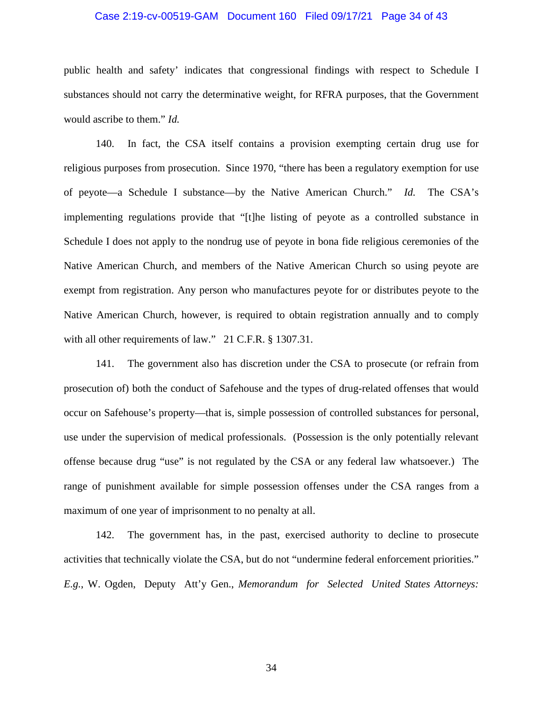## Case 2:19-cv-00519-GAM Document 160 Filed 09/17/21 Page 34 of 43

public health and safety' indicates that congressional findings with respect to Schedule I substances should not carry the determinative weight, for RFRA purposes, that the Government would ascribe to them." *Id.*

140. In fact, the CSA itself contains a provision exempting certain drug use for religious purposes from prosecution. Since 1970, "there has been a regulatory exemption for use of peyote—a Schedule I substance—by the Native American Church." *Id.* The CSA's implementing regulations provide that "[t]he listing of peyote as a controlled substance in Schedule I does not apply to the nondrug use of peyote in bona fide religious ceremonies of the Native American Church, and members of the Native American Church so using peyote are exempt from registration. Any person who manufactures peyote for or distributes peyote to the Native American Church, however, is required to obtain registration annually and to comply with all other requirements of law." 21 C.F.R. § 1307.31.

141. The government also has discretion under the CSA to prosecute (or refrain from prosecution of) both the conduct of Safehouse and the types of drug-related offenses that would occur on Safehouse's property—that is, simple possession of controlled substances for personal, use under the supervision of medical professionals. (Possession is the only potentially relevant offense because drug "use" is not regulated by the CSA or any federal law whatsoever.) The range of punishment available for simple possession offenses under the CSA ranges from a maximum of one year of imprisonment to no penalty at all.

142. The government has, in the past, exercised authority to decline to prosecute activities that technically violate the CSA, but do not "undermine federal enforcement priorities." *E.g.*, W. Ogden, Deputy Att'y Gen., *Memorandum for Selected United States Attorneys:*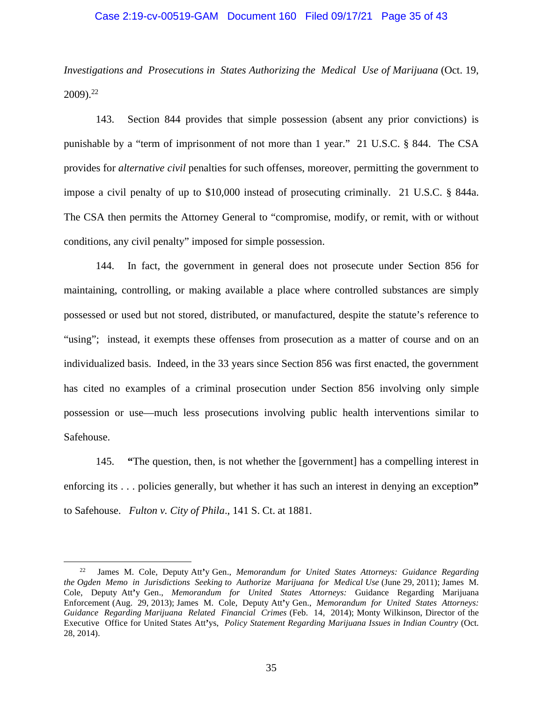## Case 2:19-cv-00519-GAM Document 160 Filed 09/17/21 Page 35 of 43

*Investigations and Prosecutions in States Authorizing the Medical Use of Marijuana* (Oct. 19, 2009).<sup>22</sup>

143. Section 844 provides that simple possession (absent any prior convictions) is punishable by a "term of imprisonment of not more than 1 year." 21 U.S.C. § 844. The CSA provides for *alternative civil* penalties for such offenses, moreover, permitting the government to impose a civil penalty of up to \$10,000 instead of prosecuting criminally. 21 U.S.C. § 844a. The CSA then permits the Attorney General to "compromise, modify, or remit, with or without conditions, any civil penalty" imposed for simple possession.

144. In fact, the government in general does not prosecute under Section 856 for maintaining, controlling, or making available a place where controlled substances are simply possessed or used but not stored, distributed, or manufactured, despite the statute's reference to "using"; instead, it exempts these offenses from prosecution as a matter of course and on an individualized basis. Indeed, in the 33 years since Section 856 was first enacted, the government has cited no examples of a criminal prosecution under Section 856 involving only simple possession or use—much less prosecutions involving public health interventions similar to Safehouse.

145. **"**The question, then, is not whether the [government] has a compelling interest in enforcing its . . . policies generally, but whether it has such an interest in denying an exception**"** to Safehouse. *Fulton v. City of Phila*., 141 S. Ct. at 1881.

<sup>22</sup> James M. Cole, Deputy Att**'**y Gen., *Memorandum for United States Attorneys: Guidance Regarding the Ogden Memo in Jurisdictions Seeking to Authorize Marijuana for Medical Use* (June 29, 2011); James M. Cole, Deputy Att**'**y Gen., *Memorandum for United States Attorneys:* Guidance Regarding Marijuana Enforcement (Aug. 29, 2013); James M. Cole, Deputy Att**'**y Gen., *Memorandum for United States Attorneys: Guidance Regarding Marijuana Related Financial Crimes* (Feb. 14, 2014); Monty Wilkinson, Director of the Executive Office for United States Att**'**ys, *Policy Statement Regarding Marijuana Issues in Indian Country* (Oct. 28, 2014).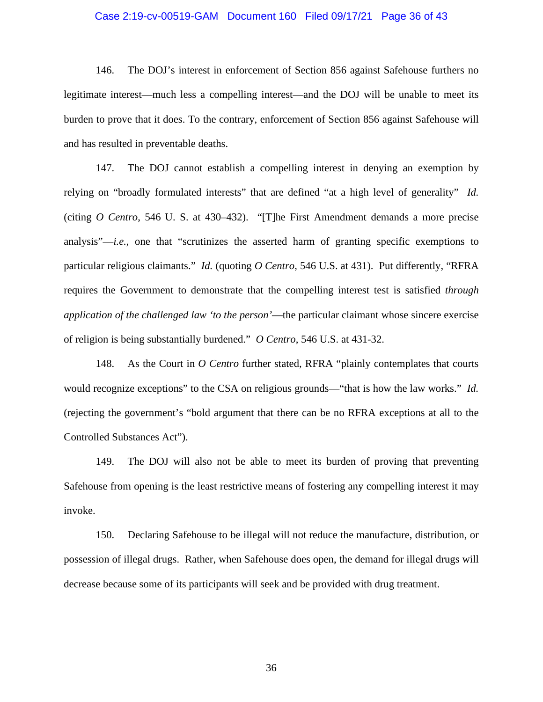## Case 2:19-cv-00519-GAM Document 160 Filed 09/17/21 Page 36 of 43

146. The DOJ's interest in enforcement of Section 856 against Safehouse furthers no legitimate interest—much less a compelling interest—and the DOJ will be unable to meet its burden to prove that it does. To the contrary, enforcement of Section 856 against Safehouse will and has resulted in preventable deaths.

147. The DOJ cannot establish a compelling interest in denying an exemption by relying on "broadly formulated interests" that are defined "at a high level of generality" *Id.*  (citing *O Centro*, 546 U. S. at 430–432). "[T]he First Amendment demands a more precise analysis"—*i.e.*, one that "scrutinizes the asserted harm of granting specific exemptions to particular religious claimants." *Id.* (quoting *O Centro*, 546 U.S. at 431). Put differently, "RFRA requires the Government to demonstrate that the compelling interest test is satisfied *through application of the challenged law 'to the person'*—the particular claimant whose sincere exercise of religion is being substantially burdened." *O Centro*, 546 U.S. at 431-32.

148. As the Court in *O Centro* further stated, RFRA "plainly contemplates that courts would recognize exceptions" to the CSA on religious grounds—"that is how the law works." *Id.* (rejecting the government's "bold argument that there can be no RFRA exceptions at all to the Controlled Substances Act").

149. The DOJ will also not be able to meet its burden of proving that preventing Safehouse from opening is the least restrictive means of fostering any compelling interest it may invoke.

150. Declaring Safehouse to be illegal will not reduce the manufacture, distribution, or possession of illegal drugs. Rather, when Safehouse does open, the demand for illegal drugs will decrease because some of its participants will seek and be provided with drug treatment.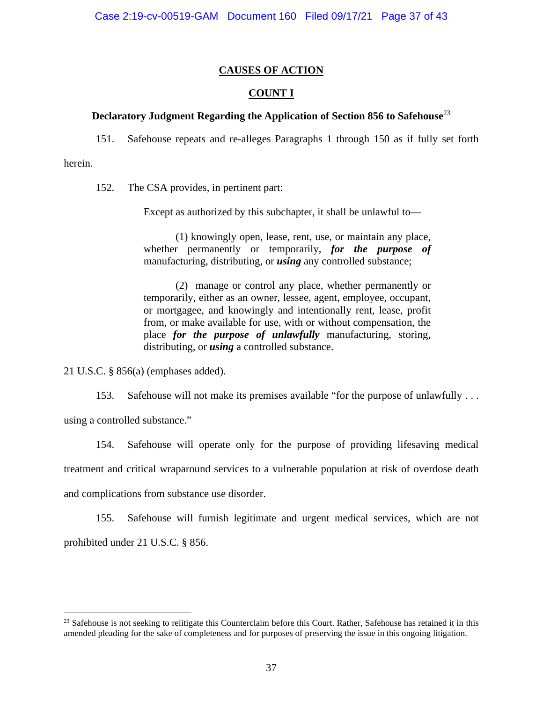## **CAUSES OF ACTION**

## **COUNT I**

## **Declaratory Judgment Regarding the Application of Section 856 to Safehouse**<sup>23</sup>

151. Safehouse repeats and re-alleges Paragraphs 1 through 150 as if fully set forth

herein.

152. The CSA provides, in pertinent part:

Except as authorized by this subchapter, it shall be unlawful to—

(1) knowingly open, lease, rent, use, or maintain any place, whether permanently or temporarily, *for the purpose of* manufacturing, distributing, or *using* any controlled substance;

(2) manage or control any place, whether permanently or temporarily, either as an owner, lessee, agent, employee, occupant, or mortgagee, and knowingly and intentionally rent, lease, profit from, or make available for use, with or without compensation, the place *for the purpose of unlawfully* manufacturing, storing, distributing, or *using* a controlled substance.

21 U.S.C. § 856(a) (emphases added).

153. Safehouse will not make its premises available "for the purpose of unlawfully . . . using a controlled substance."

154. Safehouse will operate only for the purpose of providing lifesaving medical treatment and critical wraparound services to a vulnerable population at risk of overdose death and complications from substance use disorder.

155. Safehouse will furnish legitimate and urgent medical services, which are not prohibited under 21 U.S.C. § 856.

 $23$  Safehouse is not seeking to relitigate this Counterclaim before this Court. Rather, Safehouse has retained it in this amended pleading for the sake of completeness and for purposes of preserving the issue in this ongoing litigation.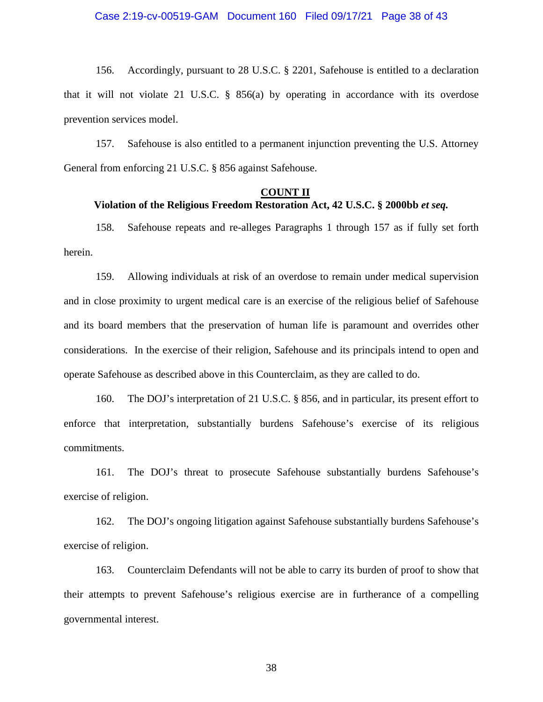156. Accordingly, pursuant to 28 U.S.C. § 2201, Safehouse is entitled to a declaration that it will not violate 21 U.S.C. § 856(a) by operating in accordance with its overdose prevention services model.

157. Safehouse is also entitled to a permanent injunction preventing the U.S. Attorney General from enforcing 21 U.S.C. § 856 against Safehouse.

## **COUNT II Violation of the Religious Freedom Restoration Act, 42 U.S.C. § 2000bb** *et seq.*

158. Safehouse repeats and re-alleges Paragraphs 1 through 157 as if fully set forth herein.

159. Allowing individuals at risk of an overdose to remain under medical supervision and in close proximity to urgent medical care is an exercise of the religious belief of Safehouse and its board members that the preservation of human life is paramount and overrides other considerations. In the exercise of their religion, Safehouse and its principals intend to open and operate Safehouse as described above in this Counterclaim, as they are called to do.

160. The DOJ's interpretation of 21 U.S.C. § 856, and in particular, its present effort to enforce that interpretation, substantially burdens Safehouse's exercise of its religious commitments.

161. The DOJ's threat to prosecute Safehouse substantially burdens Safehouse's exercise of religion.

162. The DOJ's ongoing litigation against Safehouse substantially burdens Safehouse's exercise of religion.

163. Counterclaim Defendants will not be able to carry its burden of proof to show that their attempts to prevent Safehouse's religious exercise are in furtherance of a compelling governmental interest.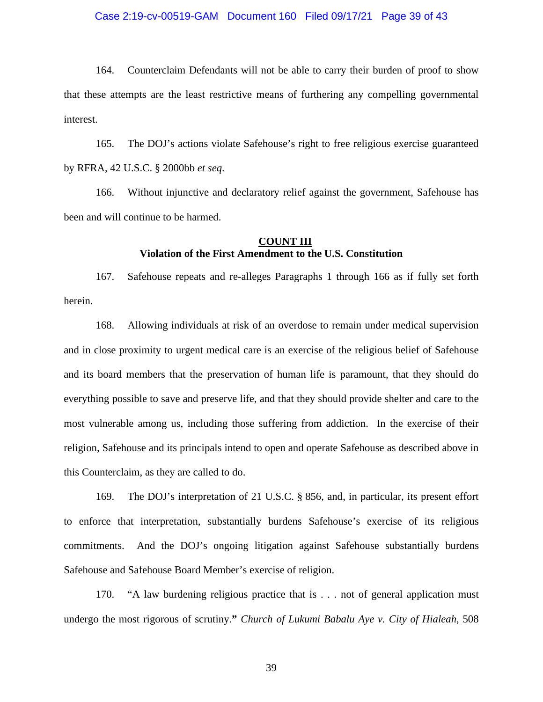### Case 2:19-cv-00519-GAM Document 160 Filed 09/17/21 Page 39 of 43

164. Counterclaim Defendants will not be able to carry their burden of proof to show that these attempts are the least restrictive means of furthering any compelling governmental interest.

165. The DOJ's actions violate Safehouse's right to free religious exercise guaranteed by RFRA, 42 U.S.C. § 2000bb *et seq*.

166. Without injunctive and declaratory relief against the government, Safehouse has been and will continue to be harmed.

## **COUNT III Violation of the First Amendment to the U.S. Constitution**

167. Safehouse repeats and re-alleges Paragraphs 1 through 166 as if fully set forth herein.

168. Allowing individuals at risk of an overdose to remain under medical supervision and in close proximity to urgent medical care is an exercise of the religious belief of Safehouse and its board members that the preservation of human life is paramount, that they should do everything possible to save and preserve life, and that they should provide shelter and care to the most vulnerable among us, including those suffering from addiction. In the exercise of their religion, Safehouse and its principals intend to open and operate Safehouse as described above in this Counterclaim, as they are called to do.

169. The DOJ's interpretation of 21 U.S.C. § 856, and, in particular, its present effort to enforce that interpretation, substantially burdens Safehouse's exercise of its religious commitments. And the DOJ's ongoing litigation against Safehouse substantially burdens Safehouse and Safehouse Board Member's exercise of religion.

170. "A law burdening religious practice that is . . . not of general application must undergo the most rigorous of scrutiny.**"** *Church of Lukumi Babalu Aye v. City of Hialeah*, 508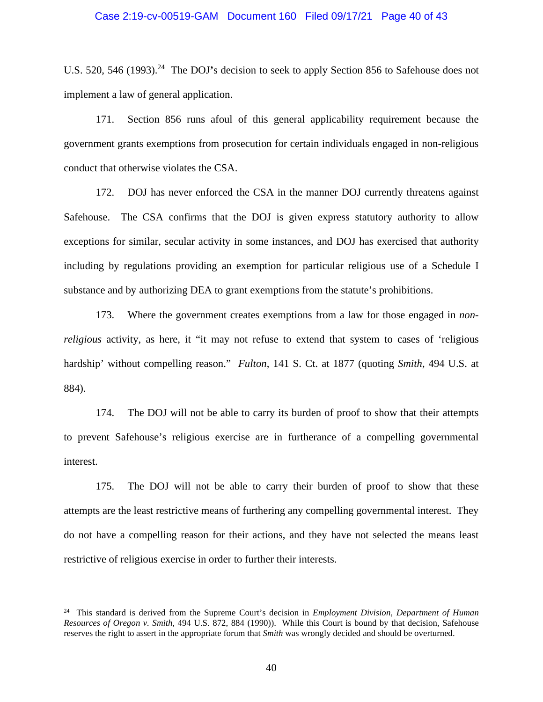### Case 2:19-cv-00519-GAM Document 160 Filed 09/17/21 Page 40 of 43

U.S. 520, 546 (1993).<sup>24</sup> The DOJ's decision to seek to apply Section 856 to Safehouse does not implement a law of general application.

171. Section 856 runs afoul of this general applicability requirement because the government grants exemptions from prosecution for certain individuals engaged in non-religious conduct that otherwise violates the CSA.

172. DOJ has never enforced the CSA in the manner DOJ currently threatens against Safehouse. The CSA confirms that the DOJ is given express statutory authority to allow exceptions for similar, secular activity in some instances, and DOJ has exercised that authority including by regulations providing an exemption for particular religious use of a Schedule I substance and by authorizing DEA to grant exemptions from the statute's prohibitions.

173. Where the government creates exemptions from a law for those engaged in *nonreligious* activity, as here, it "it may not refuse to extend that system to cases of 'religious hardship' without compelling reason." *Fulton*, 141 S. Ct. at 1877 (quoting *Smith*, 494 U.S. at 884).

174. The DOJ will not be able to carry its burden of proof to show that their attempts to prevent Safehouse's religious exercise are in furtherance of a compelling governmental interest.

175. The DOJ will not be able to carry their burden of proof to show that these attempts are the least restrictive means of furthering any compelling governmental interest. They do not have a compelling reason for their actions, and they have not selected the means least restrictive of religious exercise in order to further their interests.

<sup>24</sup> This standard is derived from the Supreme Court's decision in *Employment Division, Department of Human Resources of Oregon v. Smith*, 494 U.S. 872, 884 (1990)). While this Court is bound by that decision, Safehouse reserves the right to assert in the appropriate forum that *Smith* was wrongly decided and should be overturned.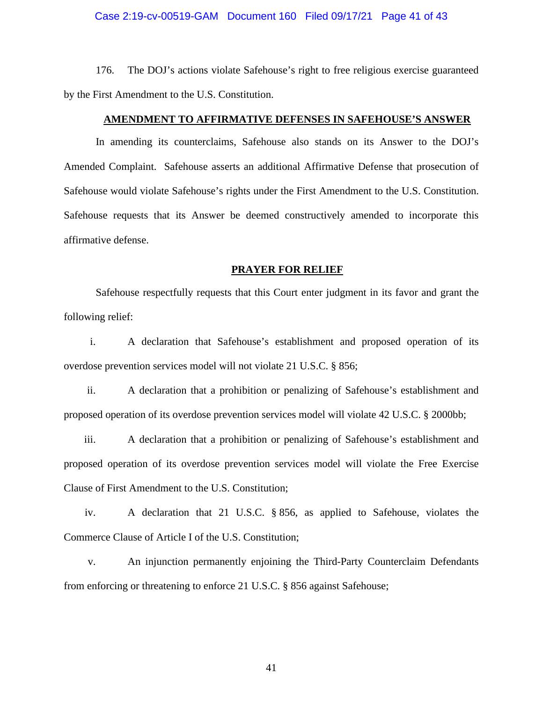### Case 2:19-cv-00519-GAM Document 160 Filed 09/17/21 Page 41 of 43

176. The DOJ's actions violate Safehouse's right to free religious exercise guaranteed by the First Amendment to the U.S. Constitution.

## **AMENDMENT TO AFFIRMATIVE DEFENSES IN SAFEHOUSE'S ANSWER**

In amending its counterclaims, Safehouse also stands on its Answer to the DOJ's Amended Complaint. Safehouse asserts an additional Affirmative Defense that prosecution of Safehouse would violate Safehouse's rights under the First Amendment to the U.S. Constitution. Safehouse requests that its Answer be deemed constructively amended to incorporate this affirmative defense.

### **PRAYER FOR RELIEF**

Safehouse respectfully requests that this Court enter judgment in its favor and grant the following relief:

i. A declaration that Safehouse's establishment and proposed operation of its overdose prevention services model will not violate 21 U.S.C. § 856;

ii. A declaration that a prohibition or penalizing of Safehouse's establishment and proposed operation of its overdose prevention services model will violate 42 U.S.C. § 2000bb;

iii. A declaration that a prohibition or penalizing of Safehouse's establishment and proposed operation of its overdose prevention services model will violate the Free Exercise Clause of First Amendment to the U.S. Constitution;

iv. A declaration that 21 U.S.C. § 856, as applied to Safehouse, violates the Commerce Clause of Article I of the U.S. Constitution;

v. An injunction permanently enjoining the Third-Party Counterclaim Defendants from enforcing or threatening to enforce 21 U.S.C. § 856 against Safehouse;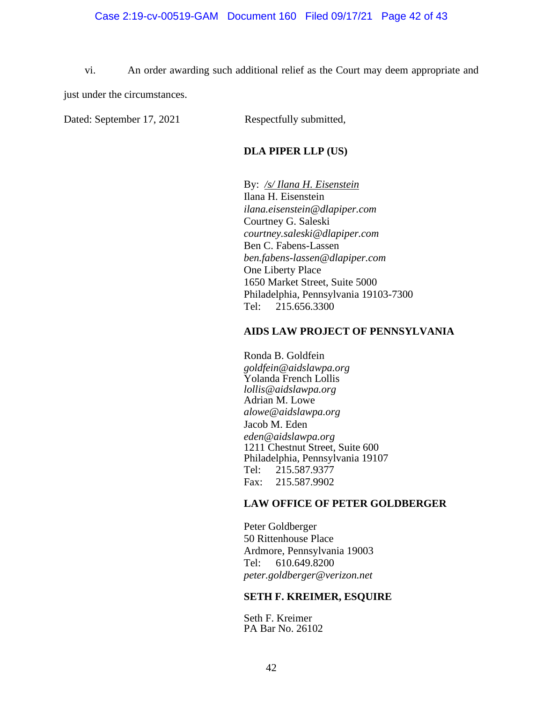vi. An order awarding such additional relief as the Court may deem appropriate and just under the circumstances.

Dated: September 17, 2021 Respectfully submitted,

## **DLA PIPER LLP (US)**

By: */s/ Ilana H. Eisenstein* Ilana H. Eisenstein *ilana.eisenstein@dlapiper.com*  Courtney G. Saleski *courtney.saleski@dlapiper.com*  Ben C. Fabens-Lassen *ben.fabens-lassen@dlapiper.com*  One Liberty Place 1650 Market Street, Suite 5000 Philadelphia, Pennsylvania 19103-7300 Tel: 215.656.3300

## **AIDS LAW PROJECT OF PENNSYLVANIA**

Ronda B. Goldfein *goldfein@aidslawpa.org*  Yolanda French Lollis *lollis@aidslawpa.org*  Adrian M. Lowe *alowe@aidslawpa.org*  Jacob M. Eden *eden@aidslawpa.org*  1211 Chestnut Street, Suite 600 Philadelphia, Pennsylvania 19107 Tel: 215.587.9377 Fax: 215.587.9902

## **LAW OFFICE OF PETER GOLDBERGER**

Peter Goldberger 50 Rittenhouse Place Ardmore, Pennsylvania 19003 Tel: 610.649.8200 *peter.goldberger@verizon.net* 

## **SETH F. KREIMER, ESQUIRE**

Seth F. Kreimer PA Bar No. 26102